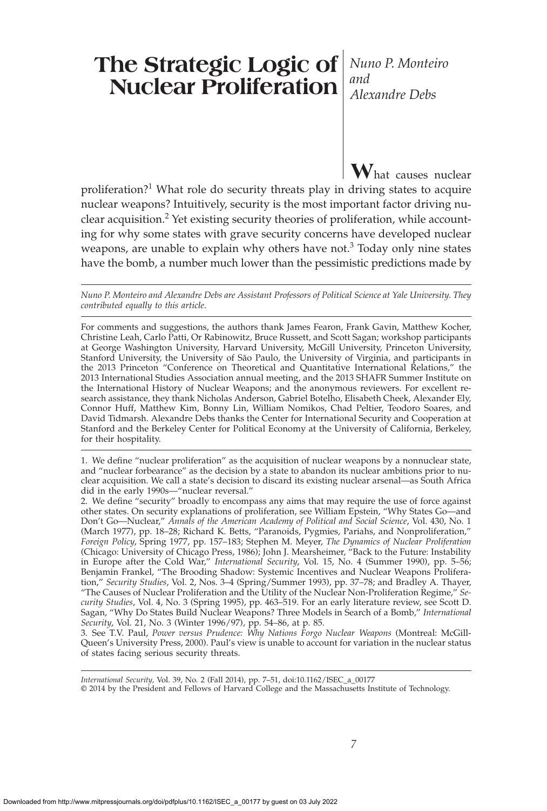#### **The Strategic Logic of Nuclear Proliferation** *Nuno P. Monteiro and Alexandre Debs*

**W**hat causes nuclear proliferation?<sup>1</sup> What role do security threats play in driving states to acquire nuclear weapons? Intuitively, security is the most important factor driving nuclear acquisition.<sup>2</sup> Yet existing security theories of proliferation, while accounting for why some states with grave security concerns have developed nuclear weapons, are unable to explain why others have not. $3$  Today only nine states have the bomb, a number much lower than the pessimistic predictions made by

*Nuno P. Monteiro and Alexandre Debs are Assistant Professors of Political Science at Yale University. They contributed equally to this article*.

For comments and suggestions, the authors thank James Fearon, Frank Gavin, Matthew Kocher, Christine Leah, Carlo Patti, Or Rabinowitz, Bruce Russett, and Scott Sagan; workshop participants at George Washington University, Harvard University, McGill University, Princeton University, Stanford University, the University of São Paulo, the University of Virginia, and participants in the 2013 Princeton "Conference on Theoretical and Quantitative International Relations," the 2013 International Studies Association annual meeting, and the 2013 SHAFR Summer Institute on the International History of Nuclear Weapons; and the anonymous reviewers. For excellent research assistance, they thank Nicholas Anderson, Gabriel Botelho, Elisabeth Cheek, Alexander Ely, Connor Huff, Matthew Kim, Bonny Lin, William Nomikos, Chad Peltier, Teodoro Soares, and David Tidmarsh. Alexandre Debs thanks the Center for International Security and Cooperation at Stanford and the Berkeley Center for Political Economy at the University of California, Berkeley, for their hospitality.

1. We define "nuclear proliferation" as the acquisition of nuclear weapons by a nonnuclear state, and "nuclear forbearance" as the decision by a state to abandon its nuclear ambitions prior to nuclear acquisition. We call a state's decision to discard its existing nuclear arsenal—as South Africa did in the early 1990s—"nuclear reversal."

2. We define "security" broadly to encompass any aims that may require the use of force against other states. On security explanations of proliferation, see William Epstein, "Why States Go—and Don't Go—Nuclear," *Annals of the American Academy of Political and Social Science*, Vol. 430, No. 1 (March 1977), pp. 18–28; Richard K. Betts, "Paranoids, Pygmies, Pariahs, and Nonproliferation," *Foreign Policy*, Spring 1977, pp. 157–183; Stephen M. Meyer, *The Dynamics of Nuclear Proliferation* (Chicago: University of Chicago Press, 1986); John J. Mearsheimer, "Back to the Future: Instability in Europe after the Cold War," *International Security*, Vol. 15, No. 4 (Summer 1990), pp. 5–56; Benjamin Frankel, "The Brooding Shadow: Systemic Incentives and Nuclear Weapons Proliferation," *Security Studies*, Vol. 2, Nos. 3–4 (Spring/Summer 1993), pp. 37–78; and Bradley A. Thayer, "The Causes of Nuclear Proliferation and the Utility of the Nuclear Non-Proliferation Regime," *Security Studies*, Vol. 4, No. 3 (Spring 1995), pp. 463–519. For an early literature review, see Scott D. Sagan, "Why Do States Build Nuclear Weapons? Three Models in Search of a Bomb," *International Security*, Vol. 21, No. 3 (Winter 1996/97), pp. 54–86, at p. 85.

3. See T.V. Paul, *Power versus Prudence: Why Nations Forgo Nuclear Weapons* (Montreal: McGill-Queen's University Press, 2000). Paul's view is unable to account for variation in the nuclear status of states facing serious security threats.

*International Security,* Vol. 39, No. 2 (Fall 2014), pp. 7–51, doi:10.1162/ISEC\_a\_00177 © 2014 by the President and Fellows of Harvard College and the Massachusetts Institute of Technology.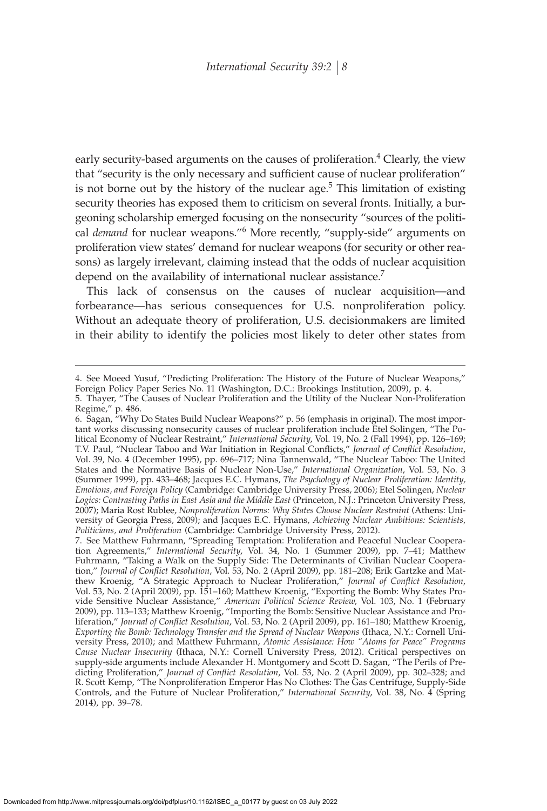early security-based arguments on the causes of proliferation.<sup>4</sup> Clearly, the view that "security is the only necessary and sufficient cause of nuclear proliferation" is not borne out by the history of the nuclear age. $5$  This limitation of existing security theories has exposed them to criticism on several fronts. Initially, a burgeoning scholarship emerged focusing on the nonsecurity "sources of the political *demand* for nuclear weapons."6 More recently, "supply-side" arguments on proliferation view states' demand for nuclear weapons (for security or other reasons) as largely irrelevant, claiming instead that the odds of nuclear acquisition depend on the availability of international nuclear assistance.<sup>7</sup>

This lack of consensus on the causes of nuclear acquisition—and forbearance—has serious consequences for U.S. nonproliferation policy. Without an adequate theory of proliferation, U.S. decisionmakers are limited in their ability to identify the policies most likely to deter other states from

<sup>4.</sup> See Moeed Yusuf, "Predicting Proliferation: The History of the Future of Nuclear Weapons," Foreign Policy Paper Series No. 11 (Washington, D.C.: Brookings Institution, 2009), p. 4.

<sup>5.</sup> Thayer, "The Causes of Nuclear Proliferation and the Utility of the Nuclear Non-Proliferation Regime," p. 486.

<sup>6.</sup> Sagan, "Why Do States Build Nuclear Weapons?" p. 56 (emphasis in original). The most important works discussing nonsecurity causes of nuclear proliferation include Etel Solingen, "The Political Economy of Nuclear Restraint," *International Security*, Vol. 19, No. 2 (Fall 1994), pp. 126–169; T.V. Paul, "Nuclear Taboo and War Initiation in Regional Conflicts," *Journal of Conflict Resolution*, Vol. 39, No. 4 (December 1995), pp. 696–717; Nina Tannenwald, "The Nuclear Taboo: The United States and the Normative Basis of Nuclear Non-Use," *International Organization*, Vol. 53, No. 3 (Summer 1999), pp. 433–468; Jacques E.C. Hymans, *The Psychology of Nuclear Proliferation: Identity, Emotions, and Foreign Policy* (Cambridge: Cambridge University Press, 2006); Etel Solingen, *Nuclear Logics: Contrasting Paths in East Asia and the Middle East* (Princeton, N.J.: Princeton University Press, 2007); Maria Rost Rublee, *Nonproliferation Norms: Why States Choose Nuclear Restraint* (Athens: University of Georgia Press, 2009); and Jacques E.C. Hymans, *Achieving Nuclear Ambitions: Scientists, Politicians, and Proliferation* (Cambridge: Cambridge University Press, 2012).

<sup>7.</sup> See Matthew Fuhrmann, "Spreading Temptation: Proliferation and Peaceful Nuclear Cooperation Agreements," *International Security*, Vol. 34, No. 1 (Summer 2009), pp. 7–41; Matthew Fuhrmann, "Taking a Walk on the Supply Side: The Determinants of Civilian Nuclear Cooperation," Journal of Conflict Resolution, Vol. 53, No. 2 (April 2009), pp. 181-208; Erik Gartzke and Matthew Kroenig, "A Strategic Approach to Nuclear Proliferation," *Journal of Conflict Resolution*, Vol. 53, No. 2 (April 2009), pp. 151–160; Matthew Kroenig, "Exporting the Bomb: Why States Provide Sensitive Nuclear Assistance," *American Political Science Review*, Vol. 103, No. 1 (February 2009), pp. 113–133; Matthew Kroenig, "Importing the Bomb: Sensitive Nuclear Assistance and Proliferation," *Journal of Conflict Resolution*, Vol. 53, No. 2 (April 2009), pp. 161-180; Matthew Kroenig, *Exporting the Bomb: Technology Transfer and the Spread of Nuclear Weapons* (Ithaca, N.Y.: Cornell University Press, 2010); and Matthew Fuhrmann, *Atomic Assistance: How "Atoms for Peace" Programs Cause Nuclear Insecurity* (Ithaca, N.Y.: Cornell University Press, 2012). Critical perspectives on supply-side arguments include Alexander H. Montgomery and Scott D. Sagan, "The Perils of Predicting Proliferation," *Journal of Conflict Resolution*, Vol. 53, No. 2 (April 2009), pp. 302–328; and R. Scott Kemp, "The Nonproliferation Emperor Has No Clothes: The Gas Centrifuge, Supply-Side Controls, and the Future of Nuclear Proliferation," *International Security*, Vol. 38, No. 4 (Spring 2014), pp. 39–78.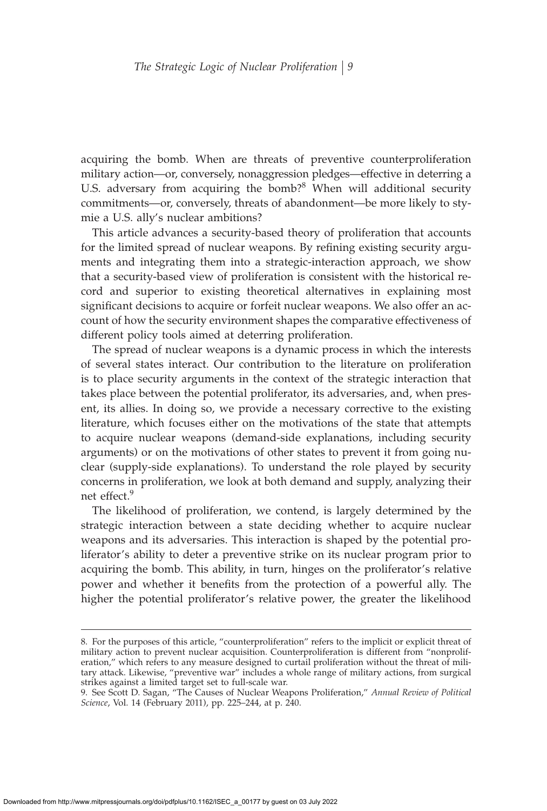acquiring the bomb. When are threats of preventive counterproliferation military action—or, conversely, nonaggression pledges—effective in deterring a U.S. adversary from acquiring the bomb?<sup>8</sup> When will additional security commitments—or, conversely, threats of abandonment—be more likely to stymie a U.S. ally's nuclear ambitions?

This article advances a security-based theory of proliferation that accounts for the limited spread of nuclear weapons. By refining existing security arguments and integrating them into a strategic-interaction approach, we show that a security-based view of proliferation is consistent with the historical record and superior to existing theoretical alternatives in explaining most significant decisions to acquire or forfeit nuclear weapons. We also offer an account of how the security environment shapes the comparative effectiveness of different policy tools aimed at deterring proliferation.

The spread of nuclear weapons is a dynamic process in which the interests of several states interact. Our contribution to the literature on proliferation is to place security arguments in the context of the strategic interaction that takes place between the potential proliferator, its adversaries, and, when present, its allies. In doing so, we provide a necessary corrective to the existing literature, which focuses either on the motivations of the state that attempts to acquire nuclear weapons (demand-side explanations, including security arguments) or on the motivations of other states to prevent it from going nuclear (supply-side explanations). To understand the role played by security concerns in proliferation, we look at both demand and supply, analyzing their net effect.<sup>9</sup>

The likelihood of proliferation, we contend, is largely determined by the strategic interaction between a state deciding whether to acquire nuclear weapons and its adversaries. This interaction is shaped by the potential proliferator's ability to deter a preventive strike on its nuclear program prior to acquiring the bomb. This ability, in turn, hinges on the proliferator's relative power and whether it benefits from the protection of a powerful ally. The higher the potential proliferator's relative power, the greater the likelihood

<sup>8.</sup> For the purposes of this article, "counterproliferation" refers to the implicit or explicit threat of military action to prevent nuclear acquisition. Counterproliferation is different from "nonproliferation," which refers to any measure designed to curtail proliferation without the threat of military attack. Likewise, "preventive war" includes a whole range of military actions, from surgical strikes against a limited target set to full-scale war.

<sup>9.</sup> See Scott D. Sagan, "The Causes of Nuclear Weapons Proliferation," *Annual Review of Political Science*, Vol. 14 (February 2011), pp. 225–244, at p. 240.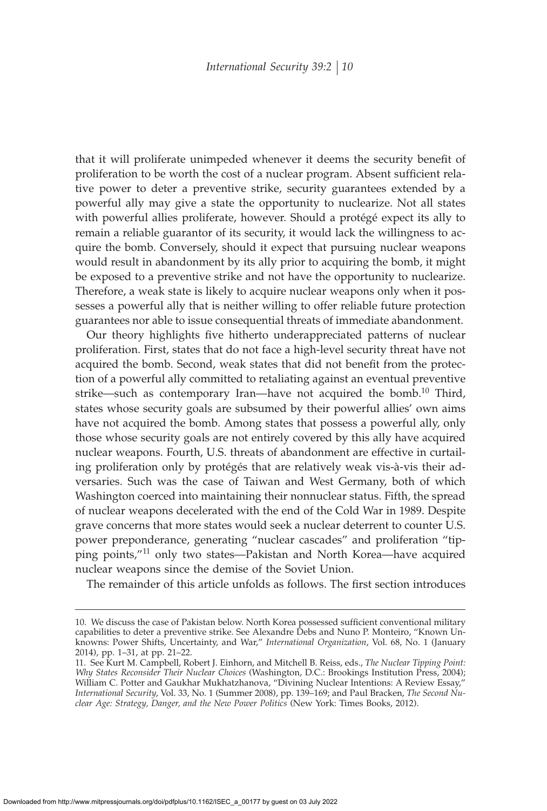that it will proliferate unimpeded whenever it deems the security benefit of proliferation to be worth the cost of a nuclear program. Absent sufficient relative power to deter a preventive strike, security guarantees extended by a powerful ally may give a state the opportunity to nuclearize. Not all states with powerful allies proliferate, however. Should a protégé expect its ally to remain a reliable guarantor of its security, it would lack the willingness to acquire the bomb. Conversely, should it expect that pursuing nuclear weapons would result in abandonment by its ally prior to acquiring the bomb, it might be exposed to a preventive strike and not have the opportunity to nuclearize. Therefore, a weak state is likely to acquire nuclear weapons only when it possesses a powerful ally that is neither willing to offer reliable future protection guarantees nor able to issue consequential threats of immediate abandonment.

Our theory highlights five hitherto underappreciated patterns of nuclear proliferation. First, states that do not face a high-level security threat have not acquired the bomb. Second, weak states that did not benefit from the protection of a powerful ally committed to retaliating against an eventual preventive strike—such as contemporary Iran—have not acquired the bomb.<sup>10</sup> Third, states whose security goals are subsumed by their powerful allies' own aims have not acquired the bomb. Among states that possess a powerful ally, only those whose security goals are not entirely covered by this ally have acquired nuclear weapons. Fourth, U.S. threats of abandonment are effective in curtailing proliferation only by protégés that are relatively weak vis-à-vis their adversaries. Such was the case of Taiwan and West Germany, both of which Washington coerced into maintaining their nonnuclear status. Fifth, the spread of nuclear weapons decelerated with the end of the Cold War in 1989. Despite grave concerns that more states would seek a nuclear deterrent to counter U.S. power preponderance, generating "nuclear cascades" and proliferation "tipping points,"<sup>11</sup> only two states—Pakistan and North Korea—have acquired nuclear weapons since the demise of the Soviet Union.

The remainder of this article unfolds as follows. The first section introduces

<sup>10.</sup> We discuss the case of Pakistan below. North Korea possessed sufficient conventional military capabilities to deter a preventive strike. See Alexandre Debs and Nuno P. Monteiro, "Known Unknowns: Power Shifts, Uncertainty, and War," *International Organization*, Vol. 68, No. 1 (January 2014), pp. 1–31, at pp. 21–22.

<sup>11.</sup> See Kurt M. Campbell, Robert J. Einhorn, and Mitchell B. Reiss, eds., *The Nuclear Tipping Point: Why States Reconsider Their Nuclear Choices* (Washington, D.C.: Brookings Institution Press, 2004); William C. Potter and Gaukhar Mukhatzhanova, "Divining Nuclear Intentions: A Review Essay," *International Security*, Vol. 33, No. 1 (Summer 2008), pp. 139–169; and Paul Bracken, *The Second Nuclear Age: Strategy, Danger, and the New Power Politics* (New York: Times Books, 2012).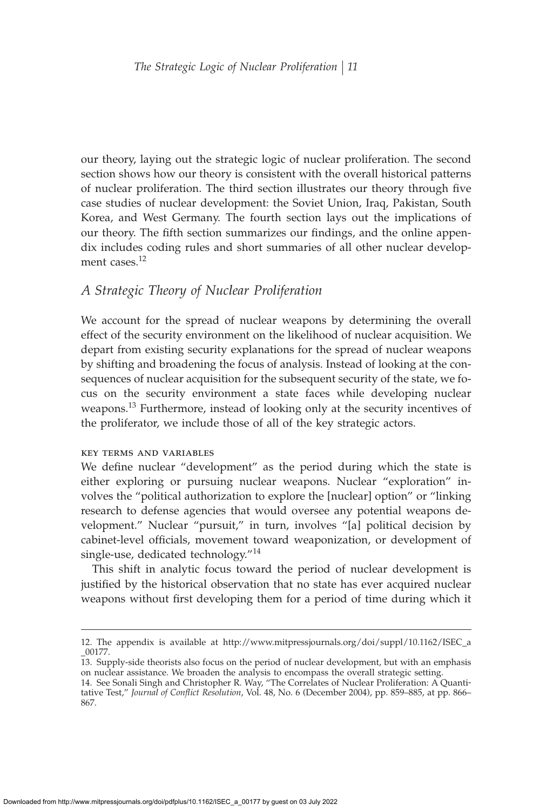our theory, laying out the strategic logic of nuclear proliferation. The second section shows how our theory is consistent with the overall historical patterns of nuclear proliferation. The third section illustrates our theory through five case studies of nuclear development: the Soviet Union, Iraq, Pakistan, South Korea, and West Germany. The fourth section lays out the implications of our theory. The fifth section summarizes our findings, and the online appendix includes coding rules and short summaries of all other nuclear development cases.<sup>12</sup>

# *A Strategic Theory of Nuclear Proliferation*

We account for the spread of nuclear weapons by determining the overall effect of the security environment on the likelihood of nuclear acquisition. We depart from existing security explanations for the spread of nuclear weapons by shifting and broadening the focus of analysis. Instead of looking at the consequences of nuclear acquisition for the subsequent security of the state, we focus on the security environment a state faces while developing nuclear weapons.<sup>13</sup> Furthermore, instead of looking only at the security incentives of the proliferator, we include those of all of the key strategic actors.

#### key terms and variables

We define nuclear "development" as the period during which the state is either exploring or pursuing nuclear weapons. Nuclear "exploration" involves the "political authorization to explore the [nuclear] option" or "linking research to defense agencies that would oversee any potential weapons development." Nuclear "pursuit," in turn, involves "[a] political decision by cabinet-level officials, movement toward weaponization, or development of single-use, dedicated technology."<sup>14</sup>

This shift in analytic focus toward the period of nuclear development is justified by the historical observation that no state has ever acquired nuclear weapons without first developing them for a period of time during which it

<sup>12.</sup> The appendix is available at http://www.mitpressjournals.org/doi/suppl/10.1162/ISEC\_a \_00177.

<sup>13.</sup> Supply-side theorists also focus on the period of nuclear development, but with an emphasis on nuclear assistance. We broaden the analysis to encompass the overall strategic setting. 14. See Sonali Singh and Christopher R. Way, "The Correlates of Nuclear Proliferation: A Quanti-

tative Test," Journal of Conflict Resolution, Vol. 48, No. 6 (December 2004), pp. 859-885, at pp. 866-867.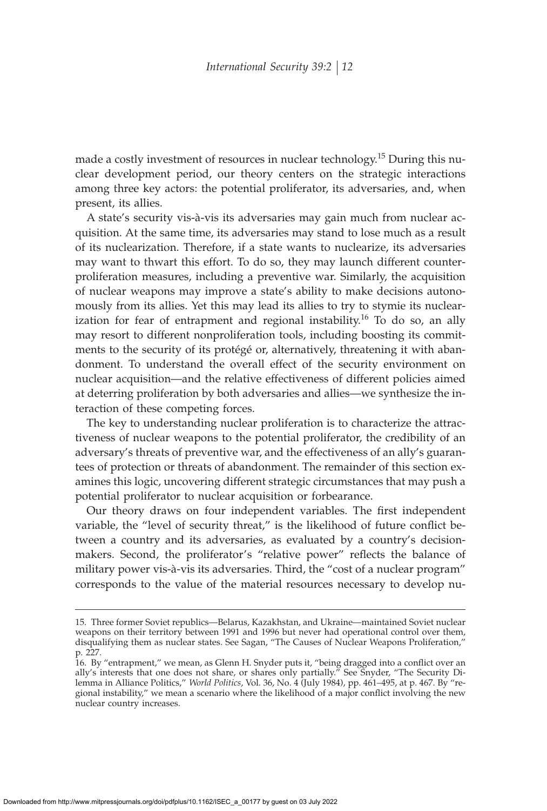made a costly investment of resources in nuclear technology.<sup>15</sup> During this nuclear development period, our theory centers on the strategic interactions among three key actors: the potential proliferator, its adversaries, and, when present, its allies.

A state's security vis-à-vis its adversaries may gain much from nuclear acquisition. At the same time, its adversaries may stand to lose much as a result of its nuclearization. Therefore, if a state wants to nuclearize, its adversaries may want to thwart this effort. To do so, they may launch different counterproliferation measures, including a preventive war. Similarly, the acquisition of nuclear weapons may improve a state's ability to make decisions autonomously from its allies. Yet this may lead its allies to try to stymie its nuclearization for fear of entrapment and regional instability.<sup>16</sup> To do so, an ally may resort to different nonproliferation tools, including boosting its commitments to the security of its protégé or, alternatively, threatening it with abandonment. To understand the overall effect of the security environment on nuclear acquisition—and the relative effectiveness of different policies aimed at deterring proliferation by both adversaries and allies—we synthesize the interaction of these competing forces.

The key to understanding nuclear proliferation is to characterize the attractiveness of nuclear weapons to the potential proliferator, the credibility of an adversary's threats of preventive war, and the effectiveness of an ally's guarantees of protection or threats of abandonment. The remainder of this section examines this logic, uncovering different strategic circumstances that may push a potential proliferator to nuclear acquisition or forbearance.

Our theory draws on four independent variables. The first independent variable, the "level of security threat," is the likelihood of future conflict between a country and its adversaries, as evaluated by a country's decisionmakers. Second, the proliferator's "relative power" reflects the balance of military power vis-à-vis its adversaries. Third, the "cost of a nuclear program" corresponds to the value of the material resources necessary to develop nu-

<sup>15.</sup> Three former Soviet republics—Belarus, Kazakhstan, and Ukraine—maintained Soviet nuclear weapons on their territory between 1991 and 1996 but never had operational control over them, disqualifying them as nuclear states. See Sagan, "The Causes of Nuclear Weapons Proliferation," p. 227.

<sup>16.</sup> By "entrapment," we mean, as Glenn H. Snyder puts it, "being dragged into a conflict over an ally's interests that one does not share, or shares only partially." See Snyder, "The Security Dilemma in Alliance Politics," *World Politics*, Vol. 36, No. 4 (July 1984), pp. 461–495, at p. 467. By "regional instability," we mean a scenario where the likelihood of a major conflict involving the new nuclear country increases.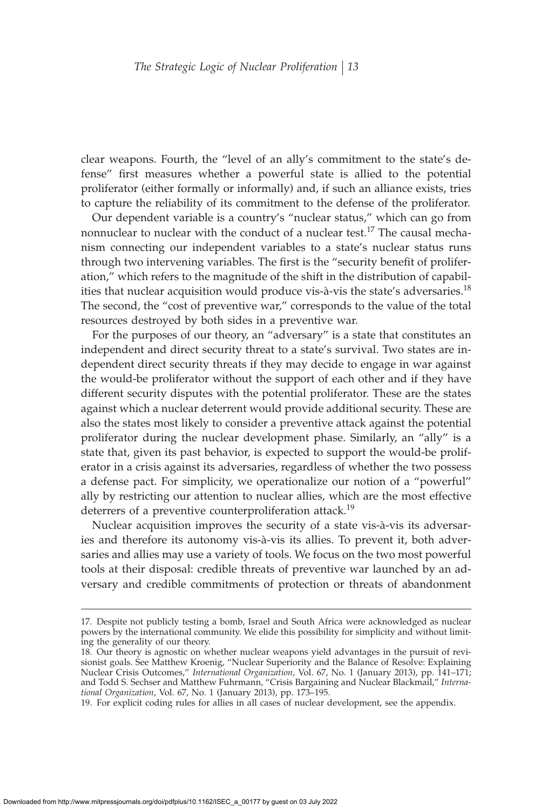clear weapons. Fourth, the "level of an ally's commitment to the state's defense" first measures whether a powerful state is allied to the potential proliferator (either formally or informally) and, if such an alliance exists, tries to capture the reliability of its commitment to the defense of the proliferator.

Our dependent variable is a country's "nuclear status," which can go from nonnuclear to nuclear with the conduct of a nuclear test.<sup>17</sup> The causal mechanism connecting our independent variables to a state's nuclear status runs through two intervening variables. The first is the "security benefit of proliferation," which refers to the magnitude of the shift in the distribution of capabilities that nuclear acquisition would produce vis-à-vis the state's adversaries.<sup>18</sup> The second, the "cost of preventive war," corresponds to the value of the total resources destroyed by both sides in a preventive war.

For the purposes of our theory, an "adversary" is a state that constitutes an independent and direct security threat to a state's survival. Two states are independent direct security threats if they may decide to engage in war against the would-be proliferator without the support of each other and if they have different security disputes with the potential proliferator. These are the states against which a nuclear deterrent would provide additional security. These are also the states most likely to consider a preventive attack against the potential proliferator during the nuclear development phase. Similarly, an "ally" is a state that, given its past behavior, is expected to support the would-be proliferator in a crisis against its adversaries, regardless of whether the two possess a defense pact. For simplicity, we operationalize our notion of a "powerful" ally by restricting our attention to nuclear allies, which are the most effective deterrers of a preventive counterproliferation attack.<sup>19</sup>

Nuclear acquisition improves the security of a state vis-à-vis its adversaries and therefore its autonomy vis-à-vis its allies. To prevent it, both adversaries and allies may use a variety of tools. We focus on the two most powerful tools at their disposal: credible threats of preventive war launched by an adversary and credible commitments of protection or threats of abandonment

<sup>17.</sup> Despite not publicly testing a bomb, Israel and South Africa were acknowledged as nuclear powers by the international community. We elide this possibility for simplicity and without limiting the generality of our theory.

<sup>18.</sup> Our theory is agnostic on whether nuclear weapons yield advantages in the pursuit of revisionist goals. See Matthew Kroenig, "Nuclear Superiority and the Balance of Resolve: Explaining Nuclear Crisis Outcomes," *International Organization*, Vol. 67, No. 1 (January 2013), pp. 141–171; and Todd S. Sechser and Matthew Fuhrmann, "Crisis Bargaining and Nuclear Blackmail," *International Organization*, Vol. 67, No. 1 (January 2013), pp. 173–195.

<sup>19.</sup> For explicit coding rules for allies in all cases of nuclear development, see the appendix.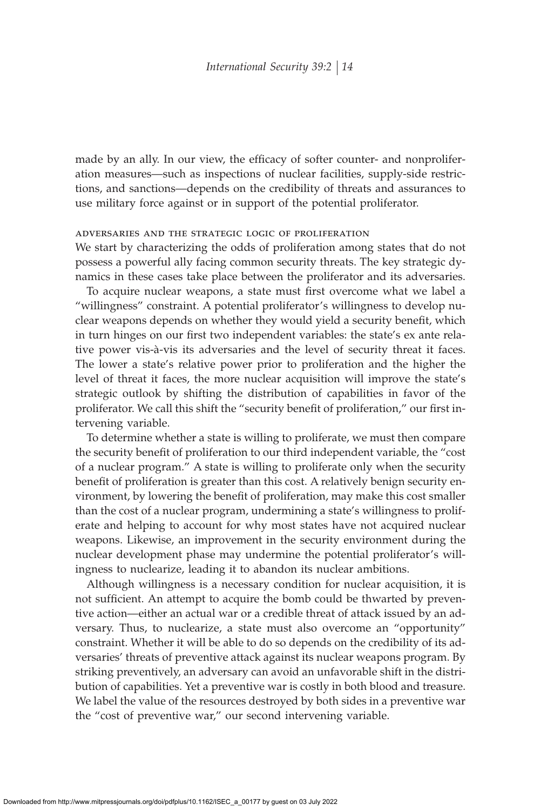made by an ally. In our view, the efficacy of softer counter- and nonproliferation measures—such as inspections of nuclear facilities, supply-side restrictions, and sanctions—depends on the credibility of threats and assurances to use military force against or in support of the potential proliferator.

## adversaries and the strategic logic of proliferation

We start by characterizing the odds of proliferation among states that do not possess a powerful ally facing common security threats. The key strategic dynamics in these cases take place between the proliferator and its adversaries.

To acquire nuclear weapons, a state must first overcome what we label a "willingness" constraint. A potential proliferator's willingness to develop nuclear weapons depends on whether they would yield a security benefit, which in turn hinges on our first two independent variables: the state's ex ante relative power vis-à-vis its adversaries and the level of security threat it faces. The lower a state's relative power prior to proliferation and the higher the level of threat it faces, the more nuclear acquisition will improve the state's strategic outlook by shifting the distribution of capabilities in favor of the proliferator. We call this shift the "security benefit of proliferation," our first intervening variable.

To determine whether a state is willing to proliferate, we must then compare the security benefit of proliferation to our third independent variable, the "cost of a nuclear program." A state is willing to proliferate only when the security benefit of proliferation is greater than this cost. A relatively benign security environment, by lowering the benefit of proliferation, may make this cost smaller than the cost of a nuclear program, undermining a state's willingness to proliferate and helping to account for why most states have not acquired nuclear weapons. Likewise, an improvement in the security environment during the nuclear development phase may undermine the potential proliferator's willingness to nuclearize, leading it to abandon its nuclear ambitions.

Although willingness is a necessary condition for nuclear acquisition, it is not sufficient. An attempt to acquire the bomb could be thwarted by preventive action—either an actual war or a credible threat of attack issued by an adversary. Thus, to nuclearize, a state must also overcome an "opportunity" constraint. Whether it will be able to do so depends on the credibility of its adversaries' threats of preventive attack against its nuclear weapons program. By striking preventively, an adversary can avoid an unfavorable shift in the distribution of capabilities. Yet a preventive war is costly in both blood and treasure. We label the value of the resources destroyed by both sides in a preventive war the "cost of preventive war," our second intervening variable.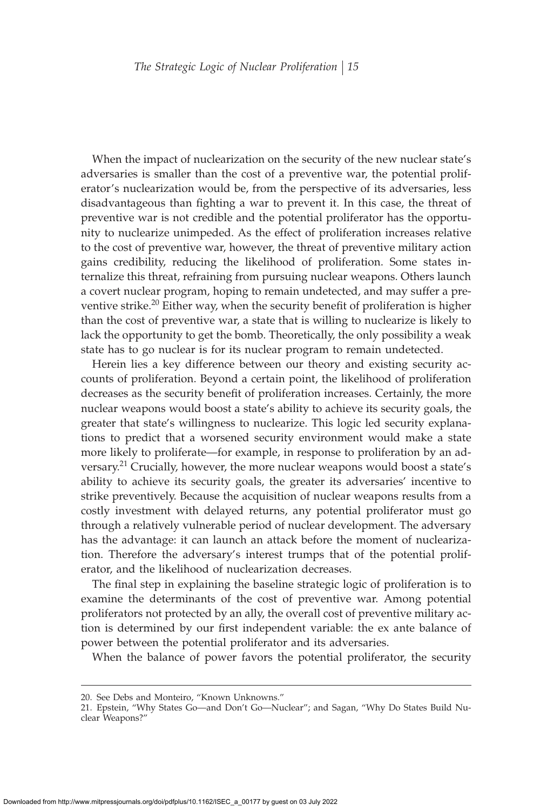When the impact of nuclearization on the security of the new nuclear state's adversaries is smaller than the cost of a preventive war, the potential proliferator's nuclearization would be, from the perspective of its adversaries, less disadvantageous than fighting a war to prevent it. In this case, the threat of preventive war is not credible and the potential proliferator has the opportunity to nuclearize unimpeded. As the effect of proliferation increases relative to the cost of preventive war, however, the threat of preventive military action gains credibility, reducing the likelihood of proliferation. Some states internalize this threat, refraining from pursuing nuclear weapons. Others launch a covert nuclear program, hoping to remain undetected, and may suffer a preventive strike.<sup>20</sup> Either way, when the security benefit of proliferation is higher than the cost of preventive war, a state that is willing to nuclearize is likely to lack the opportunity to get the bomb. Theoretically, the only possibility a weak state has to go nuclear is for its nuclear program to remain undetected.

Herein lies a key difference between our theory and existing security accounts of proliferation. Beyond a certain point, the likelihood of proliferation decreases as the security benefit of proliferation increases. Certainly, the more nuclear weapons would boost a state's ability to achieve its security goals, the greater that state's willingness to nuclearize. This logic led security explanations to predict that a worsened security environment would make a state more likely to proliferate—for example, in response to proliferation by an adversary.<sup>21</sup> Crucially, however, the more nuclear weapons would boost a state's ability to achieve its security goals, the greater its adversaries' incentive to strike preventively. Because the acquisition of nuclear weapons results from a costly investment with delayed returns, any potential proliferator must go through a relatively vulnerable period of nuclear development. The adversary has the advantage: it can launch an attack before the moment of nuclearization. Therefore the adversary's interest trumps that of the potential proliferator, and the likelihood of nuclearization decreases.

The final step in explaining the baseline strategic logic of proliferation is to examine the determinants of the cost of preventive war. Among potential proliferators not protected by an ally, the overall cost of preventive military action is determined by our first independent variable: the ex ante balance of power between the potential proliferator and its adversaries.

When the balance of power favors the potential proliferator, the security

<sup>20.</sup> See Debs and Monteiro, "Known Unknowns."

<sup>21.</sup> Epstein, "Why States Go—and Don't Go—Nuclear"; and Sagan, "Why Do States Build Nuclear Weapons?"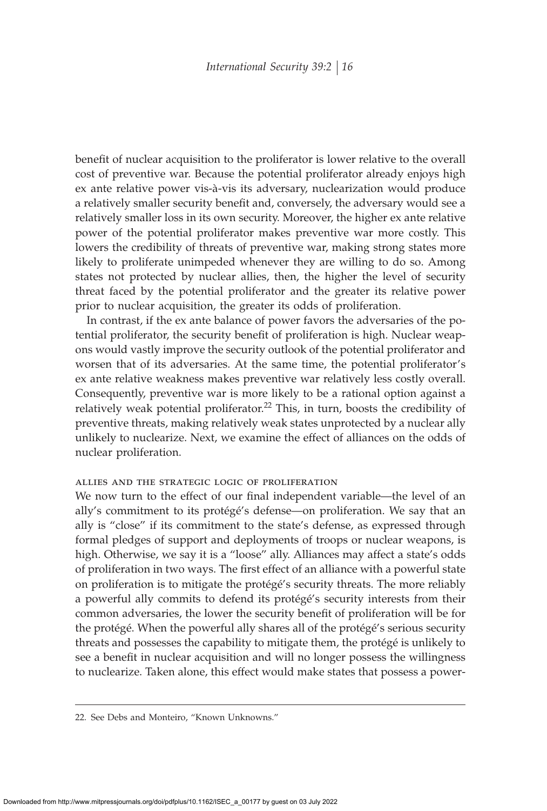benefit of nuclear acquisition to the proliferator is lower relative to the overall cost of preventive war. Because the potential proliferator already enjoys high ex ante relative power vis-à-vis its adversary, nuclearization would produce a relatively smaller security benefit and, conversely, the adversary would see a relatively smaller loss in its own security. Moreover, the higher ex ante relative power of the potential proliferator makes preventive war more costly. This lowers the credibility of threats of preventive war, making strong states more likely to proliferate unimpeded whenever they are willing to do so. Among states not protected by nuclear allies, then, the higher the level of security threat faced by the potential proliferator and the greater its relative power prior to nuclear acquisition, the greater its odds of proliferation.

In contrast, if the ex ante balance of power favors the adversaries of the potential proliferator, the security benefit of proliferation is high. Nuclear weapons would vastly improve the security outlook of the potential proliferator and worsen that of its adversaries. At the same time, the potential proliferator's ex ante relative weakness makes preventive war relatively less costly overall. Consequently, preventive war is more likely to be a rational option against a relatively weak potential proliferator.<sup>22</sup> This, in turn, boosts the credibility of preventive threats, making relatively weak states unprotected by a nuclear ally unlikely to nuclearize. Next, we examine the effect of alliances on the odds of nuclear proliferation.

## allies and the strategic logic of proliferation

We now turn to the effect of our final independent variable—the level of an ally's commitment to its protégé's defense—on proliferation. We say that an ally is "close" if its commitment to the state's defense, as expressed through formal pledges of support and deployments of troops or nuclear weapons, is high. Otherwise, we say it is a "loose" ally. Alliances may affect a state's odds of proliferation in two ways. The first effect of an alliance with a powerful state on proliferation is to mitigate the protégé's security threats. The more reliably a powerful ally commits to defend its protégé's security interests from their common adversaries, the lower the security benefit of proliferation will be for the protégé. When the powerful ally shares all of the protégé's serious security threats and possesses the capability to mitigate them, the protégé is unlikely to see a benefit in nuclear acquisition and will no longer possess the willingness to nuclearize. Taken alone, this effect would make states that possess a power-

<sup>22.</sup> See Debs and Monteiro, "Known Unknowns."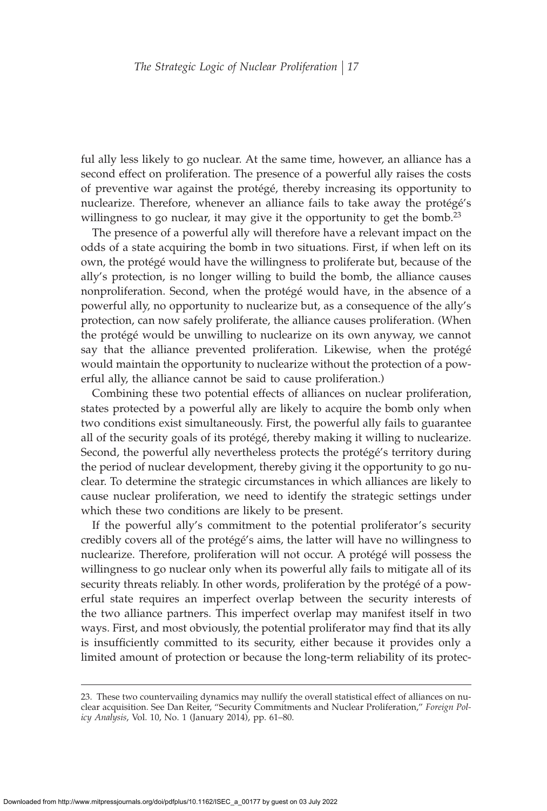ful ally less likely to go nuclear. At the same time, however, an alliance has a second effect on proliferation. The presence of a powerful ally raises the costs of preventive war against the protégé, thereby increasing its opportunity to nuclearize. Therefore, whenever an alliance fails to take away the protégé's willingness to go nuclear, it may give it the opportunity to get the bomb.<sup>23</sup>

The presence of a powerful ally will therefore have a relevant impact on the odds of a state acquiring the bomb in two situations. First, if when left on its own, the protégé would have the willingness to proliferate but, because of the ally's protection, is no longer willing to build the bomb, the alliance causes nonproliferation. Second, when the protégé would have, in the absence of a powerful ally, no opportunity to nuclearize but, as a consequence of the ally's protection, can now safely proliferate, the alliance causes proliferation. (When the protégé would be unwilling to nuclearize on its own anyway, we cannot say that the alliance prevented proliferation. Likewise, when the protégé would maintain the opportunity to nuclearize without the protection of a powerful ally, the alliance cannot be said to cause proliferation.)

Combining these two potential effects of alliances on nuclear proliferation, states protected by a powerful ally are likely to acquire the bomb only when two conditions exist simultaneously. First, the powerful ally fails to guarantee all of the security goals of its protégé, thereby making it willing to nuclearize. Second, the powerful ally nevertheless protects the protégé's territory during the period of nuclear development, thereby giving it the opportunity to go nuclear. To determine the strategic circumstances in which alliances are likely to cause nuclear proliferation, we need to identify the strategic settings under which these two conditions are likely to be present.

If the powerful ally's commitment to the potential proliferator's security credibly covers all of the protégé's aims, the latter will have no willingness to nuclearize. Therefore, proliferation will not occur. A protégé will possess the willingness to go nuclear only when its powerful ally fails to mitigate all of its security threats reliably. In other words, proliferation by the protégé of a powerful state requires an imperfect overlap between the security interests of the two alliance partners. This imperfect overlap may manifest itself in two ways. First, and most obviously, the potential proliferator may find that its ally is insufficiently committed to its security, either because it provides only a limited amount of protection or because the long-term reliability of its protec-

<sup>23.</sup> These two countervailing dynamics may nullify the overall statistical effect of alliances on nuclear acquisition. See Dan Reiter, "Security Commitments and Nuclear Proliferation," *Foreign Policy Analysis*, Vol. 10, No. 1 (January 2014), pp. 61–80.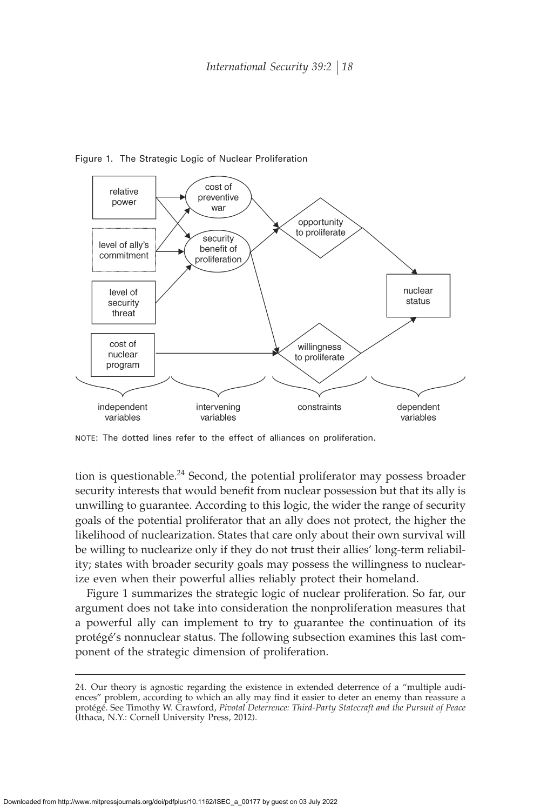

#### Figure 1. The Strategic Logic of Nuclear Proliferation

NOTE: The dotted lines refer to the effect of alliances on proliferation.

tion is questionable.<sup>24</sup> Second, the potential proliferator may possess broader security interests that would benefit from nuclear possession but that its ally is unwilling to guarantee. According to this logic, the wider the range of security goals of the potential proliferator that an ally does not protect, the higher the likelihood of nuclearization. States that care only about their own survival will be willing to nuclearize only if they do not trust their allies' long-term reliability; states with broader security goals may possess the willingness to nuclearize even when their powerful allies reliably protect their homeland.

Figure 1 summarizes the strategic logic of nuclear proliferation. So far, our argument does not take into consideration the nonproliferation measures that a powerful ally can implement to try to guarantee the continuation of its protégé's nonnuclear status. The following subsection examines this last component of the strategic dimension of proliferation.

<sup>24.</sup> Our theory is agnostic regarding the existence in extended deterrence of a "multiple audiences" problem, according to which an ally may find it easier to deter an enemy than reassure a protégé. See Timothy W. Crawford, *Pivotal Deterrence: Third-Party Statecraft and the Pursuit of Peace* (Ithaca, N.Y.: Cornell University Press, 2012).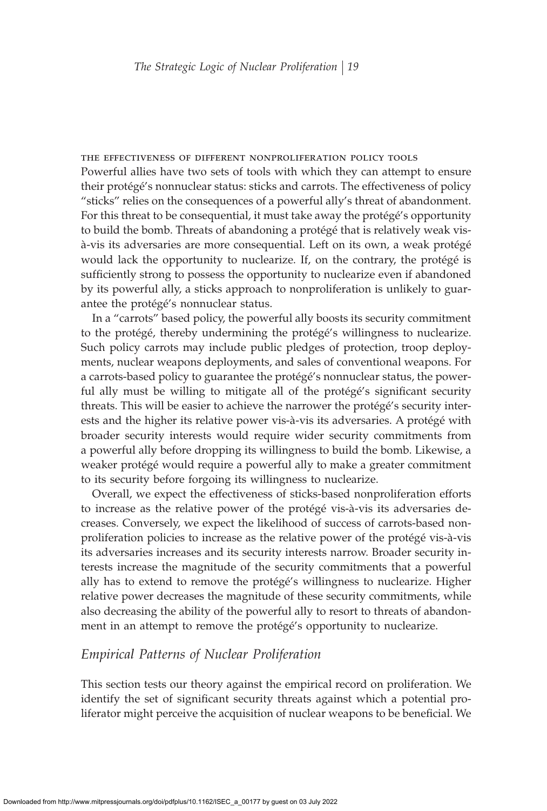the effectiveness of different nonproliferation policy tools Powerful allies have two sets of tools with which they can attempt to ensure their protégé's nonnuclear status: sticks and carrots. The effectiveness of policy "sticks" relies on the consequences of a powerful ally's threat of abandonment. For this threat to be consequential, it must take away the protégé's opportunity to build the bomb. Threats of abandoning a protégé that is relatively weak visà-vis its adversaries are more consequential. Left on its own, a weak protégé would lack the opportunity to nuclearize. If, on the contrary, the protégé is sufficiently strong to possess the opportunity to nuclearize even if abandoned by its powerful ally, a sticks approach to nonproliferation is unlikely to guarantee the protégé's nonnuclear status.

In a "carrots" based policy, the powerful ally boosts its security commitment to the protégé, thereby undermining the protégé's willingness to nuclearize. Such policy carrots may include public pledges of protection, troop deployments, nuclear weapons deployments, and sales of conventional weapons. For a carrots-based policy to guarantee the protégé's nonnuclear status, the powerful ally must be willing to mitigate all of the protégé's significant security threats. This will be easier to achieve the narrower the protégé's security interests and the higher its relative power vis-à-vis its adversaries. A protégé with broader security interests would require wider security commitments from a powerful ally before dropping its willingness to build the bomb. Likewise, a weaker protégé would require a powerful ally to make a greater commitment to its security before forgoing its willingness to nuclearize.

Overall, we expect the effectiveness of sticks-based nonproliferation efforts to increase as the relative power of the protégé vis-à-vis its adversaries decreases. Conversely, we expect the likelihood of success of carrots-based nonproliferation policies to increase as the relative power of the protégé vis-à-vis its adversaries increases and its security interests narrow. Broader security interests increase the magnitude of the security commitments that a powerful ally has to extend to remove the protégé's willingness to nuclearize. Higher relative power decreases the magnitude of these security commitments, while also decreasing the ability of the powerful ally to resort to threats of abandonment in an attempt to remove the protégé's opportunity to nuclearize.

# *Empirical Patterns of Nuclear Proliferation*

This section tests our theory against the empirical record on proliferation. We identify the set of significant security threats against which a potential proliferator might perceive the acquisition of nuclear weapons to be beneficial. We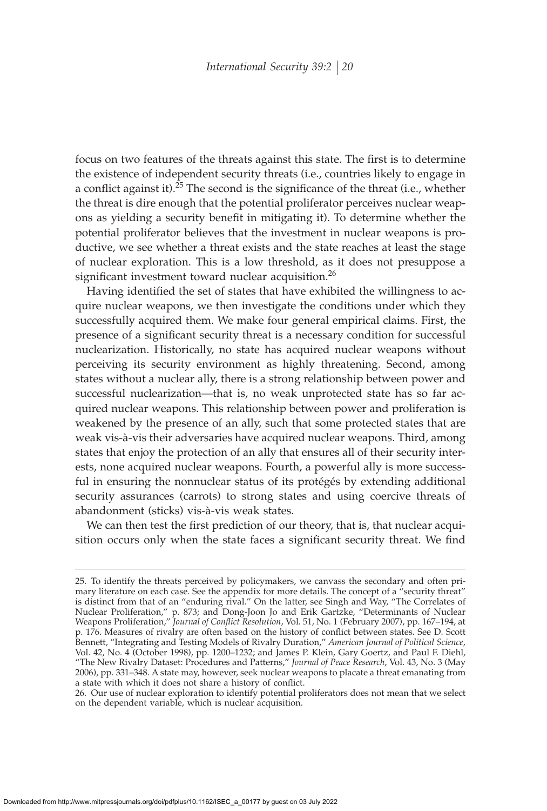focus on two features of the threats against this state. The first is to determine the existence of independent security threats (i.e., countries likely to engage in a conflict against it).<sup>25</sup> The second is the significance of the threat (i.e., whether the threat is dire enough that the potential proliferator perceives nuclear weapons as yielding a security benefit in mitigating it). To determine whether the potential proliferator believes that the investment in nuclear weapons is productive, we see whether a threat exists and the state reaches at least the stage of nuclear exploration. This is a low threshold, as it does not presuppose a significant investment toward nuclear acquisition.<sup>26</sup>

Having identified the set of states that have exhibited the willingness to acquire nuclear weapons, we then investigate the conditions under which they successfully acquired them. We make four general empirical claims. First, the presence of a significant security threat is a necessary condition for successful nuclearization. Historically, no state has acquired nuclear weapons without perceiving its security environment as highly threatening. Second, among states without a nuclear ally, there is a strong relationship between power and successful nuclearization—that is, no weak unprotected state has so far acquired nuclear weapons. This relationship between power and proliferation is weakened by the presence of an ally, such that some protected states that are weak vis-à-vis their adversaries have acquired nuclear weapons. Third, among states that enjoy the protection of an ally that ensures all of their security interests, none acquired nuclear weapons. Fourth, a powerful ally is more successful in ensuring the nonnuclear status of its protégés by extending additional security assurances (carrots) to strong states and using coercive threats of abandonment (sticks) vis-à-vis weak states.

We can then test the first prediction of our theory, that is, that nuclear acquisition occurs only when the state faces a significant security threat. We find

<sup>25.</sup> To identify the threats perceived by policymakers, we canvass the secondary and often primary literature on each case. See the appendix for more details. The concept of a "security threat" is distinct from that of an "enduring rival." On the latter, see Singh and Way, "The Correlates of Nuclear Proliferation," p. 873; and Dong-Joon Jo and Erik Gartzke, "Determinants of Nuclear Weapons Proliferation," *Journal of Conºict Resolution*, Vol. 51, No. 1 (February 2007), pp. 167–194, at p. 176. Measures of rivalry are often based on the history of conflict between states. See D. Scott Bennett, "Integrating and Testing Models of Rivalry Duration," *American Journal of Political Science*, Vol. 42, No. 4 (October 1998), pp. 1200–1232; and James P. Klein, Gary Goertz, and Paul F. Diehl, "The New Rivalry Dataset: Procedures and Patterns," *Journal of Peace Research*, Vol. 43, No. 3 (May 2006), pp. 331–348. A state may, however, seek nuclear weapons to placate a threat emanating from a state with which it does not share a history of conflict.

<sup>26.</sup> Our use of nuclear exploration to identify potential proliferators does not mean that we select on the dependent variable, which is nuclear acquisition.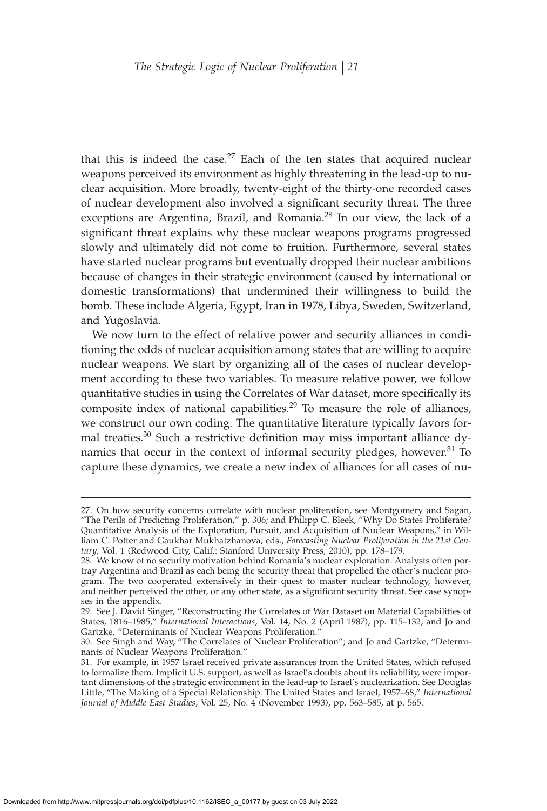that this is indeed the case.<sup>27</sup> Each of the ten states that acquired nuclear weapons perceived its environment as highly threatening in the lead-up to nuclear acquisition. More broadly, twenty-eight of the thirty-one recorded cases of nuclear development also involved a significant security threat. The three exceptions are Argentina, Brazil, and Romania.<sup>28</sup> In our view, the lack of a significant threat explains why these nuclear weapons programs progressed slowly and ultimately did not come to fruition. Furthermore, several states have started nuclear programs but eventually dropped their nuclear ambitions because of changes in their strategic environment (caused by international or domestic transformations) that undermined their willingness to build the bomb. These include Algeria, Egypt, Iran in 1978, Libya, Sweden, Switzerland, and Yugoslavia.

We now turn to the effect of relative power and security alliances in conditioning the odds of nuclear acquisition among states that are willing to acquire nuclear weapons. We start by organizing all of the cases of nuclear development according to these two variables. To measure relative power, we follow quantitative studies in using the Correlates of War dataset, more specifically its composite index of national capabilities.<sup>29</sup> To measure the role of alliances, we construct our own coding. The quantitative literature typically favors formal treaties.<sup>30</sup> Such a restrictive definition may miss important alliance dynamics that occur in the context of informal security pledges, however.<sup>31</sup> To capture these dynamics, we create a new index of alliances for all cases of nu-

<sup>27.</sup> On how security concerns correlate with nuclear proliferation, see Montgomery and Sagan, "The Perils of Predicting Proliferation," p. 306; and Philipp C. Bleek, "Why Do States Proliferate? Quantitative Analysis of the Exploration, Pursuit, and Acquisition of Nuclear Weapons," in William C. Potter and Gaukhar Mukhatzhanova, eds., *Forecasting Nuclear Proliferation in the 21st Century*, Vol. 1 (Redwood City, Calif.: Stanford University Press, 2010), pp. 178–179.

<sup>28.</sup> We know of no security motivation behind Romania's nuclear exploration. Analysts often portray Argentina and Brazil as each being the security threat that propelled the other's nuclear program. The two cooperated extensively in their quest to master nuclear technology, however, and neither perceived the other, or any other state, as a significant security threat. See case synopses in the appendix.

<sup>29.</sup> See J. David Singer, "Reconstructing the Correlates of War Dataset on Material Capabilities of States, 1816–1985," *International Interactions*, Vol. 14, No. 2 (April 1987), pp. 115–132; and Jo and Gartzke, "Determinants of Nuclear Weapons Proliferation."

<sup>30.</sup> See Singh and Way, "The Correlates of Nuclear Proliferation"; and Jo and Gartzke, "Determinants of Nuclear Weapons Proliferation."

<sup>31.</sup> For example, in 1957 Israel received private assurances from the United States, which refused to formalize them. Implicit U.S. support, as well as Israel's doubts about its reliability, were important dimensions of the strategic environment in the lead-up to Israel's nuclearization. See Douglas Little, "The Making of a Special Relationship: The United States and Israel, 1957–68," *International Journal of Middle East Studies*, Vol. 25, No. 4 (November 1993), pp. 563–585, at p. 565.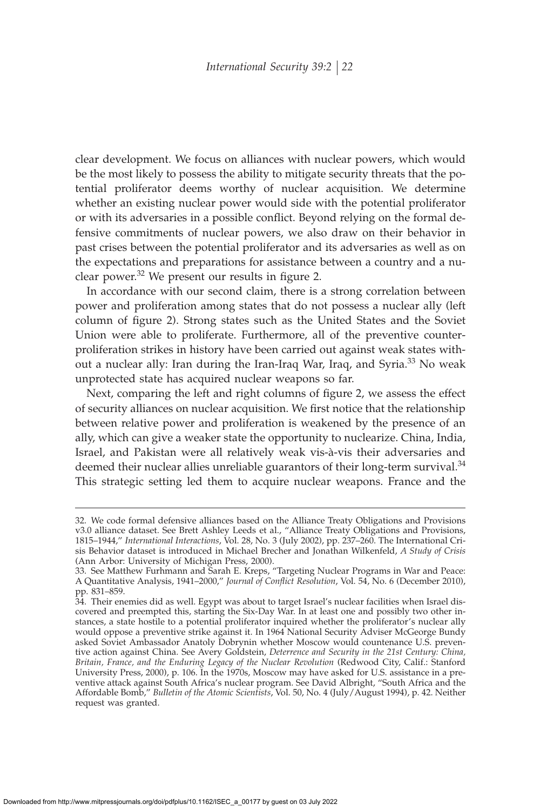clear development. We focus on alliances with nuclear powers, which would be the most likely to possess the ability to mitigate security threats that the potential proliferator deems worthy of nuclear acquisition. We determine whether an existing nuclear power would side with the potential proliferator or with its adversaries in a possible conflict. Beyond relying on the formal defensive commitments of nuclear powers, we also draw on their behavior in past crises between the potential proliferator and its adversaries as well as on the expectations and preparations for assistance between a country and a nuclear power.<sup>32</sup> We present our results in figure 2.

In accordance with our second claim, there is a strong correlation between power and proliferation among states that do not possess a nuclear ally (left column of figure 2). Strong states such as the United States and the Soviet Union were able to proliferate. Furthermore, all of the preventive counterproliferation strikes in history have been carried out against weak states without a nuclear ally: Iran during the Iran-Iraq War, Iraq, and Syria.<sup>33</sup> No weak unprotected state has acquired nuclear weapons so far.

Next, comparing the left and right columns of figure 2, we assess the effect of security alliances on nuclear acquisition. We first notice that the relationship between relative power and proliferation is weakened by the presence of an ally, which can give a weaker state the opportunity to nuclearize. China, India, Israel, and Pakistan were all relatively weak vis-à-vis their adversaries and deemed their nuclear allies unreliable guarantors of their long-term survival.<sup>34</sup> This strategic setting led them to acquire nuclear weapons. France and the

<sup>32.</sup> We code formal defensive alliances based on the Alliance Treaty Obligations and Provisions v3.0 alliance dataset. See Brett Ashley Leeds et al., "Alliance Treaty Obligations and Provisions, 1815–1944," *International Interactions*, Vol. 28, No. 3 (July 2002), pp. 237–260. The International Crisis Behavior dataset is introduced in Michael Brecher and Jonathan Wilkenfeld, *A Study of Crisis* (Ann Arbor: University of Michigan Press, 2000).

<sup>33.</sup> See Matthew Furhmann and Sarah E. Kreps, "Targeting Nuclear Programs in War and Peace: A Quantitative Analysis, 1941-2000," *Journal of Conflict Resolution*, Vol. 54, No. 6 (December 2010), pp. 831–859.

<sup>34.</sup> Their enemies did as well. Egypt was about to target Israel's nuclear facilities when Israel discovered and preempted this, starting the Six-Day War. In at least one and possibly two other instances, a state hostile to a potential proliferator inquired whether the proliferator's nuclear ally would oppose a preventive strike against it. In 1964 National Security Adviser McGeorge Bundy asked Soviet Ambassador Anatoly Dobrynin whether Moscow would countenance U.S. preventive action against China. See Avery Goldstein, *Deterrence and Security in the 21st Century: China, Britain, France, and the Enduring Legacy of the Nuclear Revolution* (Redwood City, Calif.: Stanford University Press, 2000), p. 106. In the 1970s, Moscow may have asked for U.S. assistance in a preventive attack against South Africa's nuclear program. See David Albright, "South Africa and the Affordable Bomb," *Bulletin of the Atomic Scientists*, Vol. 50, No. 4 (July/August 1994), p. 42. Neither request was granted.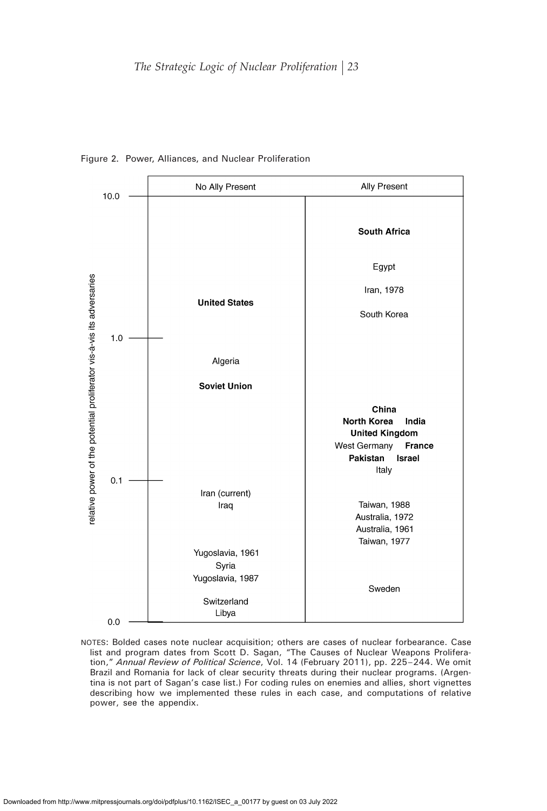

Figure 2. Power, Alliances, and Nuclear Proliferation

NOTES: Bolded cases note nuclear acquisition; others are cases of nuclear forbearance. Case list and program dates from Scott D. Sagan, "The Causes of Nuclear Weapons Proliferation," Annual Review of Political Science, Vol. 14 (February 2011), pp. 225-244. We omit Brazil and Romania for lack of clear security threats during their nuclear programs. (Argentina is not part of Sagan's case list.) For coding rules on enemies and allies, short vignettes describing how we implemented these rules in each case, and computations of relative power, see the appendix.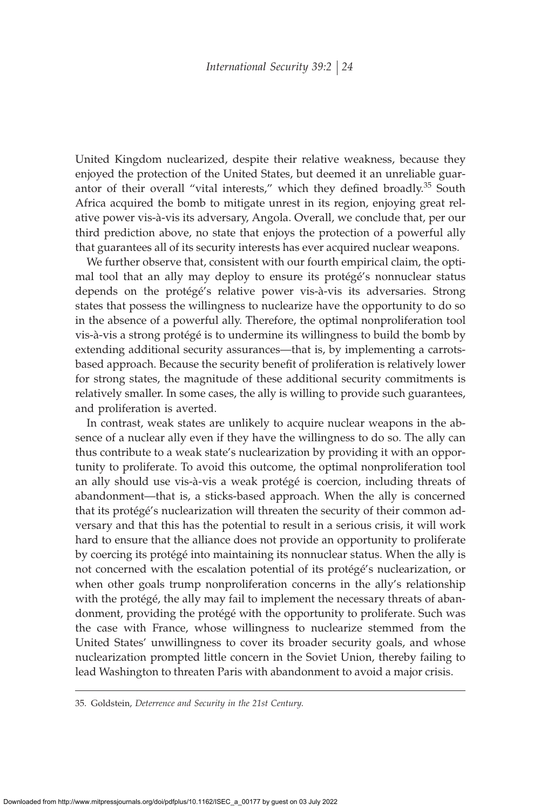United Kingdom nuclearized, despite their relative weakness, because they enjoyed the protection of the United States, but deemed it an unreliable guarantor of their overall "vital interests," which they defined broadly.<sup>35</sup> South Africa acquired the bomb to mitigate unrest in its region, enjoying great relative power vis-à-vis its adversary, Angola. Overall, we conclude that, per our third prediction above, no state that enjoys the protection of a powerful ally that guarantees all of its security interests has ever acquired nuclear weapons.

We further observe that, consistent with our fourth empirical claim, the optimal tool that an ally may deploy to ensure its protégé's nonnuclear status depends on the protégé's relative power vis-à-vis its adversaries. Strong states that possess the willingness to nuclearize have the opportunity to do so in the absence of a powerful ally. Therefore, the optimal nonproliferation tool vis-à-vis a strong protégé is to undermine its willingness to build the bomb by extending additional security assurances—that is, by implementing a carrotsbased approach. Because the security benefit of proliferation is relatively lower for strong states, the magnitude of these additional security commitments is relatively smaller. In some cases, the ally is willing to provide such guarantees, and proliferation is averted.

In contrast, weak states are unlikely to acquire nuclear weapons in the absence of a nuclear ally even if they have the willingness to do so. The ally can thus contribute to a weak state's nuclearization by providing it with an opportunity to proliferate. To avoid this outcome, the optimal nonproliferation tool an ally should use vis-à-vis a weak protégé is coercion, including threats of abandonment—that is, a sticks-based approach. When the ally is concerned that its protégé's nuclearization will threaten the security of their common adversary and that this has the potential to result in a serious crisis, it will work hard to ensure that the alliance does not provide an opportunity to proliferate by coercing its protégé into maintaining its nonnuclear status. When the ally is not concerned with the escalation potential of its protégé's nuclearization, or when other goals trump nonproliferation concerns in the ally's relationship with the protégé, the ally may fail to implement the necessary threats of abandonment, providing the protégé with the opportunity to proliferate. Such was the case with France, whose willingness to nuclearize stemmed from the United States' unwillingness to cover its broader security goals, and whose nuclearization prompted little concern in the Soviet Union, thereby failing to lead Washington to threaten Paris with abandonment to avoid a major crisis.

35. Goldstein, *Deterrence and Security in the 21st Century*.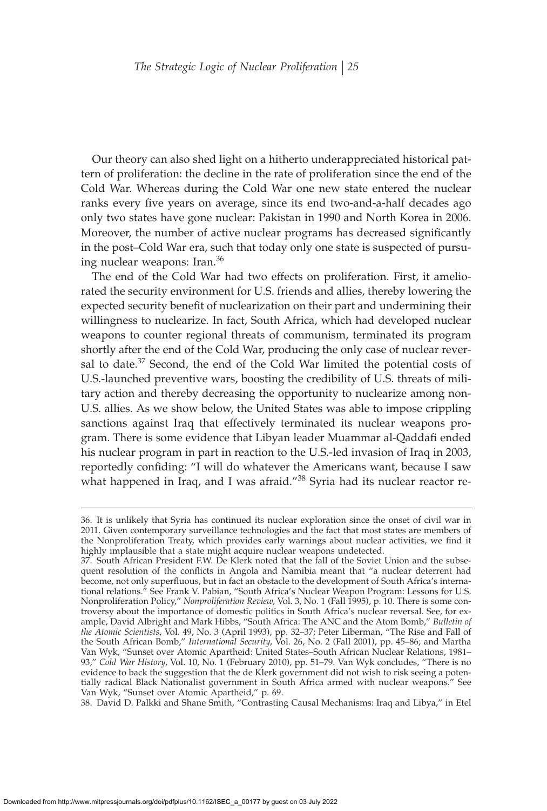Our theory can also shed light on a hitherto underappreciated historical pattern of proliferation: the decline in the rate of proliferation since the end of the Cold War. Whereas during the Cold War one new state entered the nuclear ranks every five years on average, since its end two-and-a-half decades ago only two states have gone nuclear: Pakistan in 1990 and North Korea in 2006. Moreover, the number of active nuclear programs has decreased significantly in the post–Cold War era, such that today only one state is suspected of pursuing nuclear weapons: Iran.<sup>36</sup>

The end of the Cold War had two effects on proliferation. First, it ameliorated the security environment for U.S. friends and allies, thereby lowering the expected security benefit of nuclearization on their part and undermining their willingness to nuclearize. In fact, South Africa, which had developed nuclear weapons to counter regional threats of communism, terminated its program shortly after the end of the Cold War, producing the only case of nuclear reversal to date.<sup>37</sup> Second, the end of the Cold War limited the potential costs of U.S.-launched preventive wars, boosting the credibility of U.S. threats of military action and thereby decreasing the opportunity to nuclearize among non-U.S. allies. As we show below, the United States was able to impose crippling sanctions against Iraq that effectively terminated its nuclear weapons program. There is some evidence that Libyan leader Muammar al-Qaddafi ended his nuclear program in part in reaction to the U.S.-led invasion of Iraq in 2003, reportedly confiding: "I will do whatever the Americans want, because I saw what happened in Iraq, and I was afraid."<sup>38</sup> Syria had its nuclear reactor re-

38. David D. Palkki and Shane Smith, "Contrasting Causal Mechanisms: Iraq and Libya," in Etel

<sup>36.</sup> It is unlikely that Syria has continued its nuclear exploration since the onset of civil war in 2011. Given contemporary surveillance technologies and the fact that most states are members of the Nonproliferation Treaty, which provides early warnings about nuclear activities, we find it highly implausible that a state might acquire nuclear weapons undetected.

<sup>37.</sup> South African President F.W. De Klerk noted that the fall of the Soviet Union and the subsequent resolution of the conflicts in Angola and Namibia meant that "a nuclear deterrent had become, not only superfluous, but in fact an obstacle to the development of South Africa's international relations." See Frank V. Pabian, "South Africa's Nuclear Weapon Program: Lessons for U.S. Nonproliferation Policy," *Nonproliferation Review*, Vol. 3, No. 1 (Fall 1995), p. 10. There is some controversy about the importance of domestic politics in South Africa's nuclear reversal. See, for example, David Albright and Mark Hibbs, "South Africa: The ANC and the Atom Bomb," *Bulletin of the Atomic Scientists*, Vol. 49, No. 3 (April 1993), pp. 32–37; Peter Liberman, "The Rise and Fall of the South African Bomb," *International Security*, Vol. 26, No. 2 (Fall 2001), pp. 45–86; and Martha Van Wyk, "Sunset over Atomic Apartheid: United States–South African Nuclear Relations, 1981– 93," *Cold War History*, Vol. 10, No. 1 (February 2010), pp. 51–79. Van Wyk concludes, "There is no evidence to back the suggestion that the de Klerk government did not wish to risk seeing a potentially radical Black Nationalist government in South Africa armed with nuclear weapons." See Van Wyk, "Sunset over Atomic Apartheid," p. 69.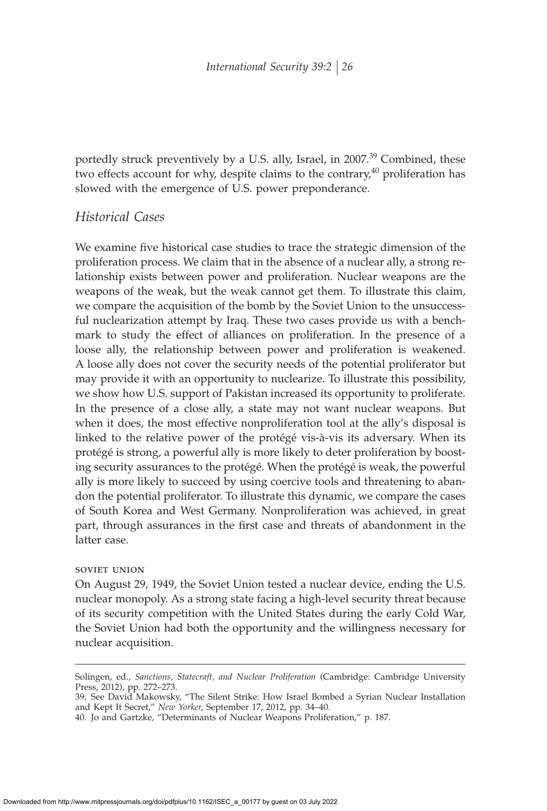portedly struck preventively by a U.S. ally, Israel, in 2007.<sup>39</sup> Combined, these two effects account for why, despite claims to the contrary, $40$  proliferation has slowed with the emergence of U.S. power preponderance.

# *Historical Cases*

We examine five historical case studies to trace the strategic dimension of the proliferation process. We claim that in the absence of a nuclear ally, a strong relationship exists between power and proliferation. Nuclear weapons are the weapons of the weak, but the weak cannot get them. To illustrate this claim, we compare the acquisition of the bomb by the Soviet Union to the unsuccessful nuclearization attempt by Iraq. These two cases provide us with a benchmark to study the effect of alliances on proliferation. In the presence of a loose ally, the relationship between power and proliferation is weakened. A loose ally does not cover the security needs of the potential proliferator but may provide it with an opportunity to nuclearize. To illustrate this possibility, we show how U.S. support of Pakistan increased its opportunity to proliferate. In the presence of a close ally, a state may not want nuclear weapons. But when it does, the most effective nonproliferation tool at the ally's disposal is linked to the relative power of the protégé vis-à-vis its adversary. When its protégé is strong, a powerful ally is more likely to deter proliferation by boosting security assurances to the protégé. When the protégé is weak, the powerful ally is more likely to succeed by using coercive tools and threatening to abandon the potential proliferator. To illustrate this dynamic, we compare the cases of South Korea and West Germany. Nonproliferation was achieved, in great part, through assurances in the first case and threats of abandonment in the latter case.

## soviet union

On August 29, 1949, the Soviet Union tested a nuclear device, ending the U.S. nuclear monopoly. As a strong state facing a high-level security threat because of its security competition with the United States during the early Cold War, the Soviet Union had both the opportunity and the willingness necessary for nuclear acquisition.

Solingen, ed., *Sanctions, Statecraft, and Nuclear Proliferation* (Cambridge: Cambridge University Press, 2012), pp. 272–273.

<sup>39.</sup> See David Makowsky, "The Silent Strike: How Israel Bombed a Syrian Nuclear Installation and Kept It Secret," *New Yorker*, September 17, 2012, pp. 34–40.

<sup>40.</sup> Jo and Gartzke, "Determinants of Nuclear Weapons Proliferation," p. 187.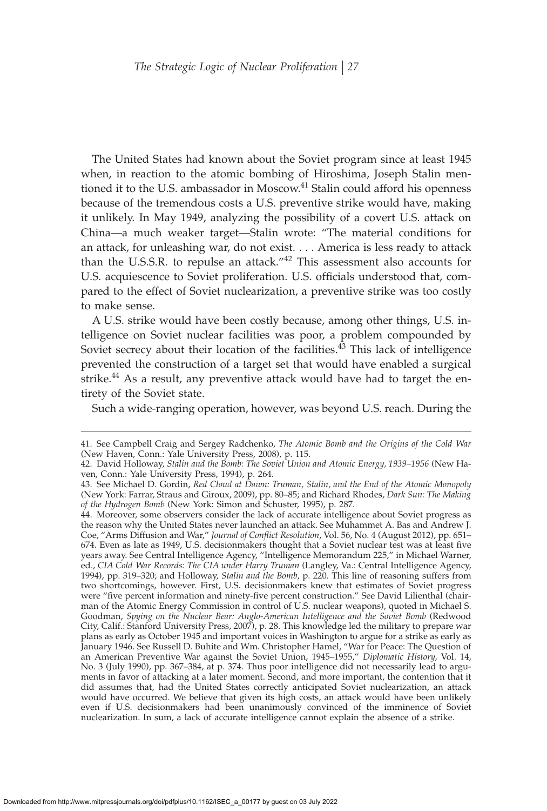The United States had known about the Soviet program since at least 1945 when, in reaction to the atomic bombing of Hiroshima, Joseph Stalin mentioned it to the U.S. ambassador in Moscow.<sup>41</sup> Stalin could afford his openness because of the tremendous costs a U.S. preventive strike would have, making it unlikely. In May 1949, analyzing the possibility of a covert U.S. attack on China—a much weaker target—Stalin wrote: "The material conditions for an attack, for unleashing war, do not exist. . . . America is less ready to attack than the U.S.S.R. to repulse an attack."<sup>42</sup> This assessment also accounts for U.S. acquiescence to Soviet proliferation. U.S. officials understood that, compared to the effect of Soviet nuclearization, a preventive strike was too costly to make sense.

A U.S. strike would have been costly because, among other things, U.S. intelligence on Soviet nuclear facilities was poor, a problem compounded by Soviet secrecy about their location of the facilities.<sup>43</sup> This lack of intelligence prevented the construction of a target set that would have enabled a surgical strike.<sup>44</sup> As a result, any preventive attack would have had to target the entirety of the Soviet state.

Such a wide-ranging operation, however, was beyond U.S. reach. During the

<sup>41.</sup> See Campbell Craig and Sergey Radchenko, *The Atomic Bomb and the Origins of the Cold War* (New Haven, Conn.: Yale University Press, 2008), p. 115.

<sup>42.</sup> David Holloway, *Stalin and the Bomb: The Soviet Union and Atomic Energy, 1939–1956* (New Haven, Conn.: Yale University Press, 1994), p. 264.

<sup>43.</sup> See Michael D. Gordin, *Red Cloud at Dawn: Truman, Stalin, and the End of the Atomic Monopoly* (New York: Farrar, Straus and Giroux, 2009), pp. 80–85; and Richard Rhodes, *Dark Sun: The Making of the Hydrogen Bomb* (New York: Simon and Schuster, 1995), p. 287.

<sup>44.</sup> Moreover, some observers consider the lack of accurate intelligence about Soviet progress as the reason why the United States never launched an attack. See Muhammet A. Bas and Andrew J. Coe, "Arms Diffusion and War," *Journal of Conflict Resolution*, Vol. 56, No. 4 (August 2012), pp. 651-674. Even as late as 1949, U.S. decisionmakers thought that a Soviet nuclear test was at least five years away. See Central Intelligence Agency, "Intelligence Memorandum 225," in Michael Warner, ed., *CIA Cold War Records: The CIA under Harry Truman* (Langley, Va.: Central Intelligence Agency, 1994), pp. 319–320; and Holloway, *Stalin and the Bomb*, p. 220. This line of reasoning suffers from two shortcomings, however. First, U.S. decisionmakers knew that estimates of Soviet progress were "five percent information and ninety-five percent construction." See David Lilienthal (chairman of the Atomic Energy Commission in control of U.S. nuclear weapons), quoted in Michael S. Goodman, *Spying on the Nuclear Bear: Anglo-American Intelligence and the Soviet Bomb* (Redwood City, Calif.: Stanford University Press, 2007), p. 28. This knowledge led the military to prepare war plans as early as October 1945 and important voices in Washington to argue for a strike as early as January 1946. See Russell D. Buhite and Wm. Christopher Hamel, "War for Peace: The Question of an American Preventive War against the Soviet Union, 1945–1955," *Diplomatic History*, Vol. 14, No. 3 (July 1990), pp. 367–384, at p. 374. Thus poor intelligence did not necessarily lead to arguments in favor of attacking at a later moment. Second, and more important, the contention that it did assumes that, had the United States correctly anticipated Soviet nuclearization, an attack would have occurred. We believe that given its high costs, an attack would have been unlikely even if U.S. decisionmakers had been unanimously convinced of the imminence of Soviet nuclearization. In sum, a lack of accurate intelligence cannot explain the absence of a strike.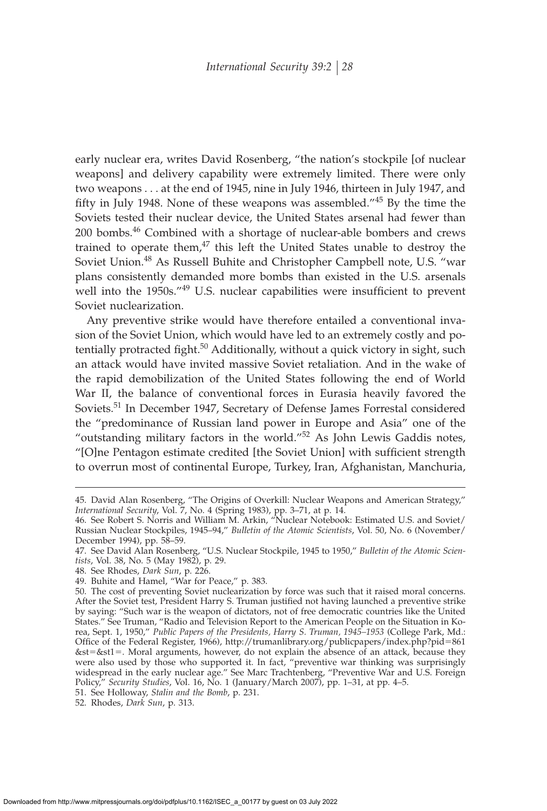early nuclear era, writes David Rosenberg, "the nation's stockpile [of nuclear weapons] and delivery capability were extremely limited. There were only two weapons . . . at the end of 1945, nine in July 1946, thirteen in July 1947, and fifty in July 1948. None of these weapons was assembled." $45$  By the time the Soviets tested their nuclear device, the United States arsenal had fewer than 200 bombs.<sup>46</sup> Combined with a shortage of nuclear-able bombers and crews trained to operate them, $47$  this left the United States unable to destroy the Soviet Union.<sup>48</sup> As Russell Buhite and Christopher Campbell note, U.S. "war plans consistently demanded more bombs than existed in the U.S. arsenals well into the  $1950s$ .<sup> $49$ </sup> U.S. nuclear capabilities were insufficient to prevent Soviet nuclearization.

Any preventive strike would have therefore entailed a conventional invasion of the Soviet Union, which would have led to an extremely costly and potentially protracted fight.<sup>50</sup> Additionally, without a quick victory in sight, such an attack would have invited massive Soviet retaliation. And in the wake of the rapid demobilization of the United States following the end of World War II, the balance of conventional forces in Eurasia heavily favored the Soviets.<sup>51</sup> In December 1947, Secretary of Defense James Forrestal considered the "predominance of Russian land power in Europe and Asia" one of the "outstanding military factors in the world."<sup>52</sup> As John Lewis Gaddis notes, "[O]ne Pentagon estimate credited [the Soviet Union] with sufficient strength to overrun most of continental Europe, Turkey, Iran, Afghanistan, Manchuria,

<sup>45.</sup> David Alan Rosenberg, "The Origins of Overkill: Nuclear Weapons and American Strategy," *International Security*, Vol. 7, No. 4 (Spring 1983), pp. 3–71, at p. 14.

<sup>46.</sup> See Robert S. Norris and William M. Arkin, "Nuclear Notebook: Estimated U.S. and Soviet/ Russian Nuclear Stockpiles, 1945–94," *Bulletin of the Atomic Scientists*, Vol. 50, No. 6 (November/ December 1994), pp. 58–59.

<sup>47.</sup> See David Alan Rosenberg, "U.S. Nuclear Stockpile, 1945 to 1950," *Bulletin of the Atomic Scientists*, Vol. 38, No. 5 (May 1982), p. 29.

<sup>48.</sup> See Rhodes, *Dark Sun*, p. 226.

<sup>49.</sup> Buhite and Hamel, "War for Peace," p. 383.

<sup>50.</sup> The cost of preventing Soviet nuclearization by force was such that it raised moral concerns. After the Soviet test, President Harry S. Truman justified not having launched a preventive strike by saying: "Such war is the weapon of dictators, not of free democratic countries like the United States." See Truman, "Radio and Television Report to the American People on the Situation in Korea, Sept. 1, 1950," *Public Papers of the Presidents, Harry S. Truman, 1945–1953* (College Park, Md.: Office of the Federal Register, 1966), http://trumanlibrary.org/publicpapers/index.php?pid=861 &st=&st1=. Moral arguments, however, do not explain the absence of an attack, because they were also used by those who supported it. In fact, "preventive war thinking was surprisingly widespread in the early nuclear age." See Marc Trachtenberg, "Preventive War and U.S. Foreign Policy," *Security Studies*, Vol. 16, No. 1 (January/March 2007), pp. 1–31, at pp. 4–5. 51. See Holloway, *Stalin and the Bomb*, p. 231.

<sup>52.</sup> Rhodes, *Dark Sun*, p. 313.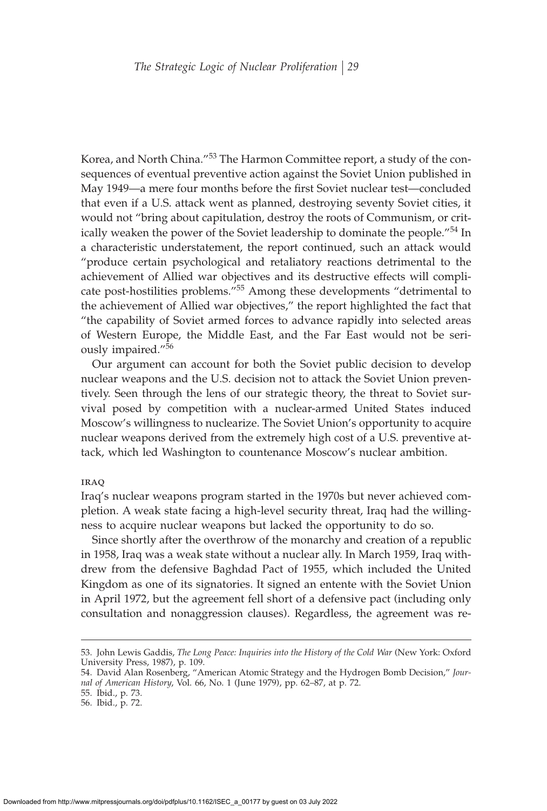Korea, and North China."<sup>53</sup> The Harmon Committee report, a study of the consequences of eventual preventive action against the Soviet Union published in May 1949—a mere four months before the first Soviet nuclear test—concluded that even if a U.S. attack went as planned, destroying seventy Soviet cities, it would not "bring about capitulation, destroy the roots of Communism, or critically weaken the power of the Soviet leadership to dominate the people.<sup>"54</sup> In a characteristic understatement, the report continued, such an attack would "produce certain psychological and retaliatory reactions detrimental to the achievement of Allied war objectives and its destructive effects will complicate post-hostilities problems."<sup>55</sup> Among these developments "detrimental to the achievement of Allied war objectives," the report highlighted the fact that "the capability of Soviet armed forces to advance rapidly into selected areas of Western Europe, the Middle East, and the Far East would not be seriously impaired."<sup>56</sup>

Our argument can account for both the Soviet public decision to develop nuclear weapons and the U.S. decision not to attack the Soviet Union preventively. Seen through the lens of our strategic theory, the threat to Soviet survival posed by competition with a nuclear-armed United States induced Moscow's willingness to nuclearize. The Soviet Union's opportunity to acquire nuclear weapons derived from the extremely high cost of a U.S. preventive attack, which led Washington to countenance Moscow's nuclear ambition.

## **IRAQ**

Iraq's nuclear weapons program started in the 1970s but never achieved completion. A weak state facing a high-level security threat, Iraq had the willingness to acquire nuclear weapons but lacked the opportunity to do so.

Since shortly after the overthrow of the monarchy and creation of a republic in 1958, Iraq was a weak state without a nuclear ally. In March 1959, Iraq withdrew from the defensive Baghdad Pact of 1955, which included the United Kingdom as one of its signatories. It signed an entente with the Soviet Union in April 1972, but the agreement fell short of a defensive pact (including only consultation and nonaggression clauses). Regardless, the agreement was re-

<sup>53.</sup> John Lewis Gaddis, *The Long Peace: Inquiries into the History of the Cold War* (New York: Oxford University Press, 1987), p. 109.

<sup>54.</sup> David Alan Rosenberg, "American Atomic Strategy and the Hydrogen Bomb Decision," *Journal of American History*, Vol. 66, No. 1 (June 1979), pp. 62–87, at p. 72. 55. Ibid., p. 73.

<sup>56.</sup> Ibid., p. 72.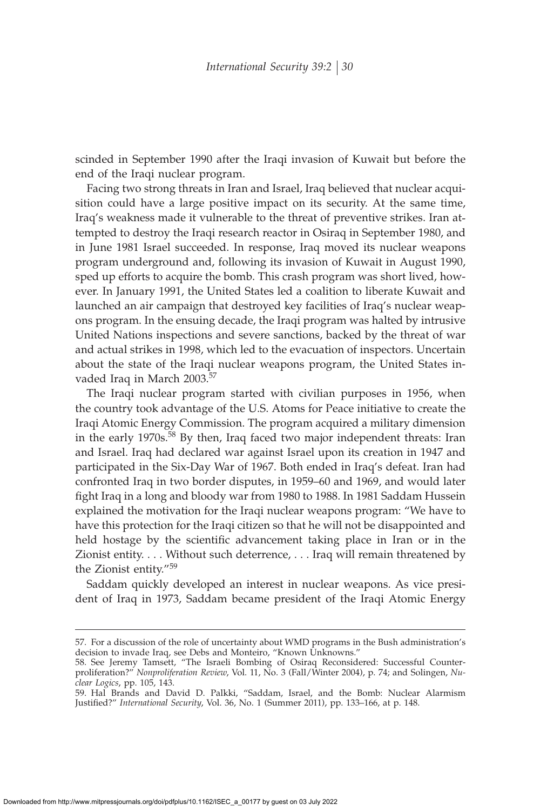scinded in September 1990 after the Iraqi invasion of Kuwait but before the end of the Iraqi nuclear program.

Facing two strong threats in Iran and Israel, Iraq believed that nuclear acquisition could have a large positive impact on its security. At the same time, Iraq's weakness made it vulnerable to the threat of preventive strikes. Iran attempted to destroy the Iraqi research reactor in Osiraq in September 1980, and in June 1981 Israel succeeded. In response, Iraq moved its nuclear weapons program underground and, following its invasion of Kuwait in August 1990, sped up efforts to acquire the bomb. This crash program was short lived, however. In January 1991, the United States led a coalition to liberate Kuwait and launched an air campaign that destroyed key facilities of Iraq's nuclear weapons program. In the ensuing decade, the Iraqi program was halted by intrusive United Nations inspections and severe sanctions, backed by the threat of war and actual strikes in 1998, which led to the evacuation of inspectors. Uncertain about the state of the Iraqi nuclear weapons program, the United States invaded Iraq in March 2003.<sup>57</sup>

The Iraqi nuclear program started with civilian purposes in 1956, when the country took advantage of the U.S. Atoms for Peace initiative to create the Iraqi Atomic Energy Commission. The program acquired a military dimension in the early 1970s.<sup>58</sup> By then, Iraq faced two major independent threats: Iran and Israel. Iraq had declared war against Israel upon its creation in 1947 and participated in the Six-Day War of 1967. Both ended in Iraq's defeat. Iran had confronted Iraq in two border disputes, in 1959–60 and 1969, and would later fight Iraq in a long and bloody war from 1980 to 1988. In 1981 Saddam Hussein explained the motivation for the Iraqi nuclear weapons program: "We have to have this protection for the Iraqi citizen so that he will not be disappointed and held hostage by the scientific advancement taking place in Iran or in the Zionist entity.... Without such deterrence,... Iraq will remain threatened by the Zionist entity."59

Saddam quickly developed an interest in nuclear weapons. As vice president of Iraq in 1973, Saddam became president of the Iraqi Atomic Energy

<sup>57.</sup> For a discussion of the role of uncertainty about WMD programs in the Bush administration's decision to invade Iraq, see Debs and Monteiro, "Known Unknowns."

<sup>58.</sup> See Jeremy Tamsett, "The Israeli Bombing of Osiraq Reconsidered: Successful Counterproliferation?" *Nonproliferation Review*, Vol. 11, No. 3 (Fall/Winter 2004), p. 74; and Solingen, *Nuclear Logics*, pp. 105, 143.

<sup>59.</sup> Hal Brands and David D. Palkki, "Saddam, Israel, and the Bomb: Nuclear Alarmism Justified?" International Security, Vol. 36, No. 1 (Summer 2011), pp. 133-166, at p. 148.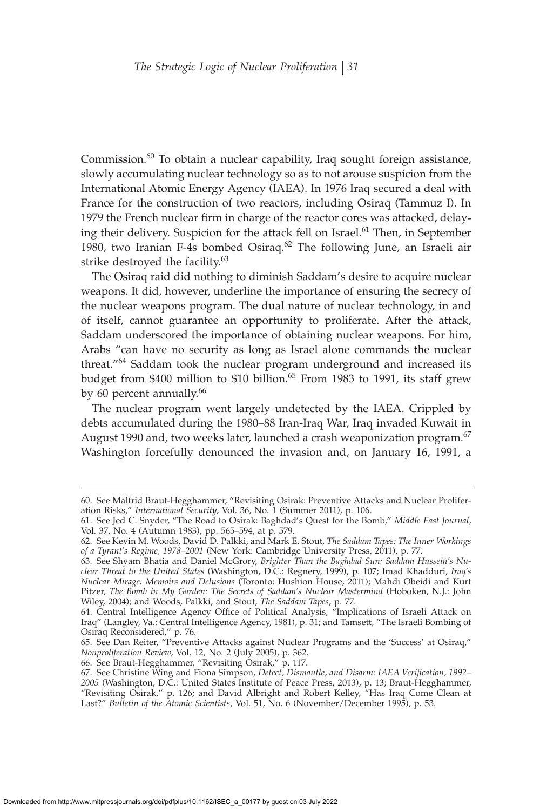Commission.<sup>60</sup> To obtain a nuclear capability, Iraq sought foreign assistance, slowly accumulating nuclear technology so as to not arouse suspicion from the International Atomic Energy Agency (IAEA). In 1976 Iraq secured a deal with France for the construction of two reactors, including Osiraq (Tammuz I). In 1979 the French nuclear firm in charge of the reactor cores was attacked, delaying their delivery. Suspicion for the attack fell on Israel.<sup>61</sup> Then, in September 1980, two Iranian F-4s bombed Osiraq.<sup>62</sup> The following June, an Israeli air strike destroyed the facility.<sup>63</sup>

The Osiraq raid did nothing to diminish Saddam's desire to acquire nuclear weapons. It did, however, underline the importance of ensuring the secrecy of the nuclear weapons program. The dual nature of nuclear technology, in and of itself, cannot guarantee an opportunity to proliferate. After the attack, Saddam underscored the importance of obtaining nuclear weapons. For him, Arabs "can have no security as long as Israel alone commands the nuclear threat."<sup>64</sup> Saddam took the nuclear program underground and increased its budget from \$400 million to \$10 billion.<sup>65</sup> From 1983 to 1991, its staff grew by 60 percent annually. $66$ 

The nuclear program went largely undetected by the IAEA. Crippled by debts accumulated during the 1980–88 Iran-Iraq War, Iraq invaded Kuwait in August 1990 and, two weeks later, launched a crash weaponization program.<sup>67</sup> Washington forcefully denounced the invasion and, on January 16, 1991, a

<sup>60.</sup> See Målfrid Braut-Hegghammer, "Revisiting Osirak: Preventive Attacks and Nuclear Proliferation Risks," *International Security*, Vol. 36, No. 1 (Summer 2011), p. 106.

<sup>61.</sup> See Jed C. Snyder, "The Road to Osirak: Baghdad's Quest for the Bomb," *Middle East Journal*, Vol. 37, No. 4 (Autumn 1983), pp. 565–594, at p. 579.

<sup>62.</sup> See Kevin M. Woods, David D. Palkki, and Mark E. Stout, *The Saddam Tapes: The Inner Workings of a Tyrant's Regime, 1978–2001* (New York: Cambridge University Press, 2011), p. 77.

<sup>63.</sup> See Shyam Bhatia and Daniel McGrory, *Brighter Than the Baghdad Sun: Saddam Hussein's Nuclear Threat to the United States* (Washington, D.C.: Regnery, 1999), p. 107; Imad Khadduri, *Iraq's Nuclear Mirage: Memoirs and Delusions* (Toronto: Hushion House, 2011); Mahdi Obeidi and Kurt Pitzer, *The Bomb in My Garden: The Secrets of Saddam's Nuclear Mastermind* (Hoboken, N.J.: John Wiley, 2004); and Woods, Palkki, and Stout, *The Saddam Tapes*, p. 77.

<sup>64.</sup> Central Intelligence Agency Office of Political Analysis, "Implications of Israeli Attack on Iraq" (Langley, Va.: Central Intelligence Agency, 1981), p. 31; and Tamsett, "The Israeli Bombing of Osiraq Reconsidered," p. 76.

<sup>65.</sup> See Dan Reiter, "Preventive Attacks against Nuclear Programs and the 'Success' at Osiraq," *Nonproliferation Review*, Vol. 12, No. 2 (July 2005), p. 362.

<sup>66.</sup> See Braut-Hegghammer, "Revisiting Osirak," p. 117.

<sup>67.</sup> See Christine Wing and Fiona Simpson, *Detect*, Dismantle, and Disarm: IAEA Verification, 1992-*2005* (Washington, D.C.: United States Institute of Peace Press, 2013), p. 13; Braut-Hegghammer, "Revisiting Osirak," p. 126; and David Albright and Robert Kelley, "Has Iraq Come Clean at Last?" *Bulletin of the Atomic Scientists*, Vol. 51, No. 6 (November/December 1995), p. 53.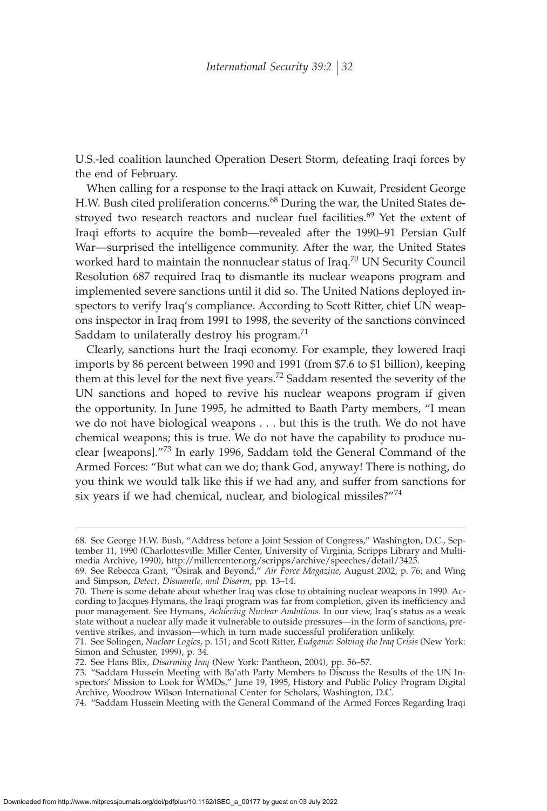U.S.-led coalition launched Operation Desert Storm, defeating Iraqi forces by the end of February.

When calling for a response to the Iraqi attack on Kuwait, President George H.W. Bush cited proliferation concerns.<sup>68</sup> During the war, the United States destroyed two research reactors and nuclear fuel facilities. $69$  Yet the extent of Iraqi efforts to acquire the bomb—revealed after the 1990–91 Persian Gulf War—surprised the intelligence community. After the war, the United States worked hard to maintain the nonnuclear status of Iraq.<sup>70</sup> UN Security Council Resolution 687 required Iraq to dismantle its nuclear weapons program and implemented severe sanctions until it did so. The United Nations deployed inspectors to verify Iraq's compliance. According to Scott Ritter, chief UN weapons inspector in Iraq from 1991 to 1998, the severity of the sanctions convinced Saddam to unilaterally destroy his program. $71$ 

Clearly, sanctions hurt the Iraqi economy. For example, they lowered Iraqi imports by 86 percent between 1990 and 1991 (from \$7.6 to \$1 billion), keeping them at this level for the next five years.<sup>72</sup> Saddam resented the severity of the UN sanctions and hoped to revive his nuclear weapons program if given the opportunity. In June 1995, he admitted to Baath Party members, "I mean we do not have biological weapons . . . but this is the truth. We do not have chemical weapons; this is true. We do not have the capability to produce nuclear [weapons]."<sup>73</sup> In early 1996, Saddam told the General Command of the Armed Forces: "But what can we do; thank God, anyway! There is nothing, do you think we would talk like this if we had any, and suffer from sanctions for six years if we had chemical, nuclear, and biological missiles?"<sup>74</sup>

<sup>68.</sup> See George H.W. Bush, "Address before a Joint Session of Congress," Washington, D.C., September 11, 1990 (Charlottesville: Miller Center, University of Virginia, Scripps Library and Multimedia Archive, 1990), http://millercenter.org/scripps/archive/speeches/detail/3425.

<sup>69.</sup> See Rebecca Grant, "Osirak and Beyond," *Air Force Magazine*, August 2002, p. 76; and Wing and Simpson, *Detect, Dismantle, and Disarm*, pp. 13–14.

<sup>70.</sup> There is some debate about whether Iraq was close to obtaining nuclear weapons in 1990. According to Jacques Hymans, the Iraqi program was far from completion, given its inefficiency and poor management. See Hymans, *Achieving Nuclear Ambitions*. In our view, Iraq's status as a weak state without a nuclear ally made it vulnerable to outside pressures—in the form of sanctions, preventive strikes, and invasion—which in turn made successful proliferation unlikely.

<sup>71.</sup> See Solingen, *Nuclear Logics*, p. 151; and Scott Ritter, *Endgame: Solving the Iraq Crisis* (New York: Simon and Schuster, 1999), p. 34.

<sup>72.</sup> See Hans Blix, *Disarming Iraq* (New York: Pantheon, 2004), pp. 56–57.

<sup>73. &</sup>quot;Saddam Hussein Meeting with Ba'ath Party Members to Discuss the Results of the UN Inspectors' Mission to Look for WMDs," June 19, 1995, History and Public Policy Program Digital Archive, Woodrow Wilson International Center for Scholars, Washington, D.C.

<sup>74. &</sup>quot;Saddam Hussein Meeting with the General Command of the Armed Forces Regarding Iraqi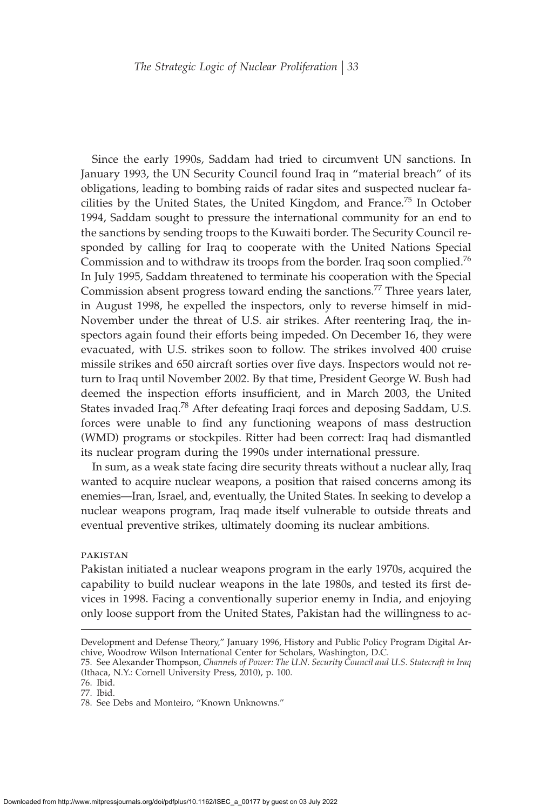Since the early 1990s, Saddam had tried to circumvent UN sanctions. In January 1993, the UN Security Council found Iraq in "material breach" of its obligations, leading to bombing raids of radar sites and suspected nuclear facilities by the United States, the United Kingdom, and France.<sup>75</sup> In October 1994, Saddam sought to pressure the international community for an end to the sanctions by sending troops to the Kuwaiti border. The Security Council responded by calling for Iraq to cooperate with the United Nations Special Commission and to withdraw its troops from the border. Iraq soon complied.<sup>76</sup> In July 1995, Saddam threatened to terminate his cooperation with the Special Commission absent progress toward ending the sanctions.<sup>77</sup> Three years later, in August 1998, he expelled the inspectors, only to reverse himself in mid-November under the threat of U.S. air strikes. After reentering Iraq, the inspectors again found their efforts being impeded. On December 16, they were evacuated, with U.S. strikes soon to follow. The strikes involved 400 cruise missile strikes and 650 aircraft sorties over five days. Inspectors would not return to Iraq until November 2002. By that time, President George W. Bush had deemed the inspection efforts insufficient, and in March 2003, the United States invaded Iraq.<sup>78</sup> After defeating Iraqi forces and deposing Saddam, U.S. forces were unable to find any functioning weapons of mass destruction (WMD) programs or stockpiles. Ritter had been correct: Iraq had dismantled its nuclear program during the 1990s under international pressure.

In sum, as a weak state facing dire security threats without a nuclear ally, Iraq wanted to acquire nuclear weapons, a position that raised concerns among its enemies—Iran, Israel, and, eventually, the United States. In seeking to develop a nuclear weapons program, Iraq made itself vulnerable to outside threats and eventual preventive strikes, ultimately dooming its nuclear ambitions.

#### pakistan

Pakistan initiated a nuclear weapons program in the early 1970s, acquired the capability to build nuclear weapons in the late 1980s, and tested its first devices in 1998. Facing a conventionally superior enemy in India, and enjoying only loose support from the United States, Pakistan had the willingness to ac-

75. See Alexander Thompson, *Channels of Power: The U.N. Security Council and U.S. Statecraft in Iraq* (Ithaca, N.Y.: Cornell University Press, 2010), p. 100.

Development and Defense Theory," January 1996, History and Public Policy Program Digital Archive, Woodrow Wilson International Center for Scholars, Washington, D.C.

<sup>76.</sup> Ibid.

<sup>77.</sup> Ibid.

<sup>78.</sup> See Debs and Monteiro, "Known Unknowns."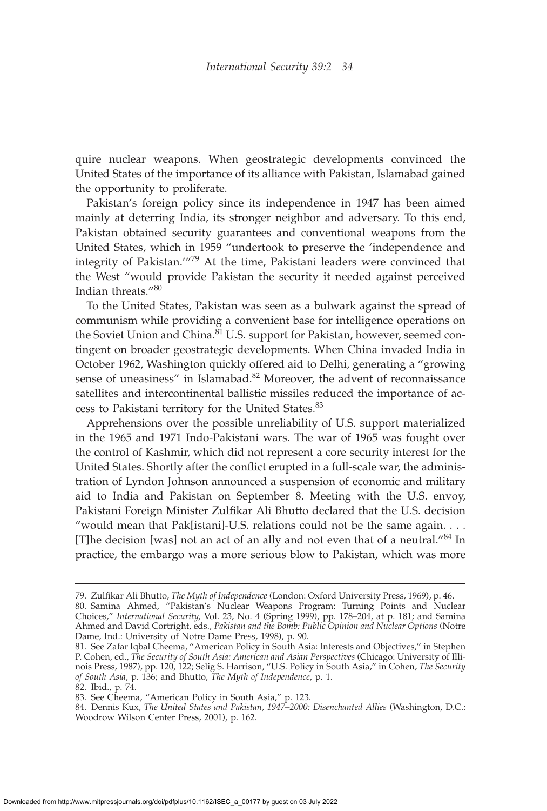quire nuclear weapons. When geostrategic developments convinced the United States of the importance of its alliance with Pakistan, Islamabad gained the opportunity to proliferate.

Pakistan's foreign policy since its independence in 1947 has been aimed mainly at deterring India, its stronger neighbor and adversary. To this end, Pakistan obtained security guarantees and conventional weapons from the United States, which in 1959 "undertook to preserve the 'independence and integrity of Pakistan.'"<sup>79</sup> At the time, Pakistani leaders were convinced that the West "would provide Pakistan the security it needed against perceived Indian threats."80

To the United States, Pakistan was seen as a bulwark against the spread of communism while providing a convenient base for intelligence operations on the Soviet Union and China.<sup>81</sup> U.S. support for Pakistan, however, seemed contingent on broader geostrategic developments. When China invaded India in October 1962, Washington quickly offered aid to Delhi, generating a "growing sense of uneasiness" in Islamabad.<sup>82</sup> Moreover, the advent of reconnaissance satellites and intercontinental ballistic missiles reduced the importance of access to Pakistani territory for the United States.<sup>83</sup>

Apprehensions over the possible unreliability of U.S. support materialized in the 1965 and 1971 Indo-Pakistani wars. The war of 1965 was fought over the control of Kashmir, which did not represent a core security interest for the United States. Shortly after the conflict erupted in a full-scale war, the administration of Lyndon Johnson announced a suspension of economic and military aid to India and Pakistan on September 8. Meeting with the U.S. envoy, Pakistani Foreign Minister Zulfikar Ali Bhutto declared that the U.S. decision "would mean that Pak[istani]-U.S. relations could not be the same again.... [T]he decision [was] not an act of an ally and not even that of a neutral."<sup>84</sup> In practice, the embargo was a more serious blow to Pakistan, which was more

82. Ibid., p. 74.

83. See Cheema, "American Policy in South Asia," p. 123.

<sup>79.</sup> Zulfikar Ali Bhutto, *The Myth of Independence* (London: Oxford University Press, 1969), p. 46. 80. Samina Ahmed, "Pakistan's Nuclear Weapons Program: Turning Points and Nuclear Choices," *International Security*, Vol. 23, No. 4 (Spring 1999), pp. 178–204, at p. 181; and Samina Ahmed and David Cortright, eds., *Pakistan and the Bomb: Public Opinion and Nuclear Options* (Notre Dame, Ind.: University of Notre Dame Press, 1998), p. 90.

<sup>81.</sup> See Zafar Iqbal Cheema, "American Policy in South Asia: Interests and Objectives," in Stephen P. Cohen, ed., *The Security of South Asia: American and Asian Perspectives* (Chicago: University of Illinois Press, 1987), pp. 120, 122; Selig S. Harrison, "U.S. Policy in South Asia," in Cohen, *The Security of South Asia*, p. 136; and Bhutto, *The Myth of Independence*, p. 1.

<sup>84.</sup> Dennis Kux, *The United States and Pakistan, 1947–2000: Disenchanted Allies* (Washington, D.C.: Woodrow Wilson Center Press, 2001), p. 162.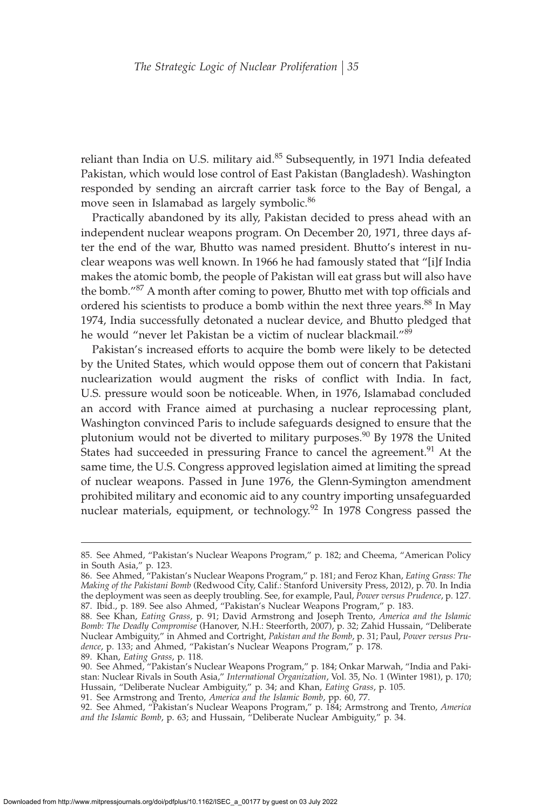reliant than India on U.S. military aid. $85$  Subsequently, in 1971 India defeated Pakistan, which would lose control of East Pakistan (Bangladesh). Washington responded by sending an aircraft carrier task force to the Bay of Bengal, a move seen in Islamabad as largely symbolic.<sup>86</sup>

Practically abandoned by its ally, Pakistan decided to press ahead with an independent nuclear weapons program. On December 20, 1971, three days after the end of the war, Bhutto was named president. Bhutto's interest in nuclear weapons was well known. In 1966 he had famously stated that "[i]f India makes the atomic bomb, the people of Pakistan will eat grass but will also have the bomb."<sup>87</sup> A month after coming to power, Bhutto met with top officials and ordered his scientists to produce a bomb within the next three years.<sup>88</sup> In May 1974, India successfully detonated a nuclear device, and Bhutto pledged that he would "never let Pakistan be a victim of nuclear blackmail."<sup>89</sup>

Pakistan's increased efforts to acquire the bomb were likely to be detected by the United States, which would oppose them out of concern that Pakistani nuclearization would augment the risks of conflict with India. In fact, U.S. pressure would soon be noticeable. When, in 1976, Islamabad concluded an accord with France aimed at purchasing a nuclear reprocessing plant, Washington convinced Paris to include safeguards designed to ensure that the plutonium would not be diverted to military purposes. $90$  By 1978 the United States had succeeded in pressuring France to cancel the agreement.<sup>91</sup> At the same time, the U.S. Congress approved legislation aimed at limiting the spread of nuclear weapons. Passed in June 1976, the Glenn-Symington amendment prohibited military and economic aid to any country importing unsafeguarded nuclear materials, equipment, or technology.<sup>92</sup> In 1978 Congress passed the

91. See Armstrong and Trento, *America and the Islamic Bomb*, pp. 60, 77.

<sup>85.</sup> See Ahmed, "Pakistan's Nuclear Weapons Program," p. 182; and Cheema, "American Policy in South Asia," p. 123.

<sup>86.</sup> See Ahmed, "Pakistan's Nuclear Weapons Program," p. 181; and Feroz Khan, *Eating Grass: The Making of the Pakistani Bomb* (Redwood City, Calif.: Stanford University Press, 2012), p. 70. In India the deployment was seen as deeply troubling. See, for example, Paul, *Power versus Prudence*, p. 127. 87. Ibid., p. 189. See also Ahmed, "Pakistan's Nuclear Weapons Program," p. 183.

<sup>88.</sup> See Khan, *Eating Grass*, p. 91; David Armstrong and Joseph Trento, *America and the Islamic Bomb: The Deadly Compromise* (Hanover, N.H.: Steerforth, 2007), p. 32; Zahid Hussain, "Deliberate Nuclear Ambiguity," in Ahmed and Cortright, *Pakistan and the Bomb*, p. 31; Paul, *Power versus Prudence*, p. 133; and Ahmed, "Pakistan's Nuclear Weapons Program," p. 178. 89. Khan, *Eating Grass*, p. 118.

<sup>90.</sup> See Ahmed, "Pakistan's Nuclear Weapons Program," p. 184; Onkar Marwah, "India and Pakistan: Nuclear Rivals in South Asia," *International Organization*, Vol. 35, No. 1 (Winter 1981), p. 170; Hussain, "Deliberate Nuclear Ambiguity," p. 34; and Khan, *Eating Grass*, p. 105.

<sup>92.</sup> See Ahmed, "Pakistan's Nuclear Weapons Program," p. 184; Armstrong and Trento, *America and the Islamic Bomb*, p. 63; and Hussain, "Deliberate Nuclear Ambiguity," p. 34.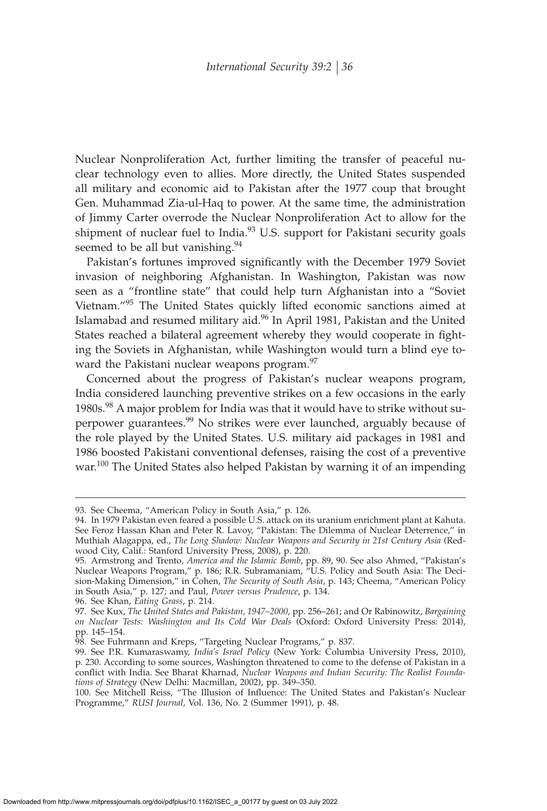Nuclear Nonproliferation Act, further limiting the transfer of peaceful nuclear technology even to allies. More directly, the United States suspended all military and economic aid to Pakistan after the 1977 coup that brought Gen. Muhammad Zia-ul-Haq to power. At the same time, the administration of Jimmy Carter overrode the Nuclear Nonproliferation Act to allow for the shipment of nuclear fuel to India. $93$  U.S. support for Pakistani security goals seemed to be all but vanishing.<sup>94</sup>

Pakistan's fortunes improved significantly with the December 1979 Soviet invasion of neighboring Afghanistan. In Washington, Pakistan was now seen as a "frontline state" that could help turn Afghanistan into a "Soviet Vietnam."<sup>95</sup> The United States quickly lifted economic sanctions aimed at Islamabad and resumed military aid.<sup>96</sup> In April 1981, Pakistan and the United States reached a bilateral agreement whereby they would cooperate in fighting the Soviets in Afghanistan, while Washington would turn a blind eye toward the Pakistani nuclear weapons program.<sup>97</sup>

Concerned about the progress of Pakistan's nuclear weapons program, India considered launching preventive strikes on a few occasions in the early 1980s.<sup>98</sup> A major problem for India was that it would have to strike without superpower guarantees.<sup>99</sup> No strikes were ever launched, arguably because of the role played by the United States. U.S. military aid packages in 1981 and 1986 boosted Pakistani conventional defenses, raising the cost of a preventive war.<sup>100</sup> The United States also helped Pakistan by warning it of an impending

96. See Khan, *Eating Grass*, p. 214.

<sup>93.</sup> See Cheema, "American Policy in South Asia," p. 126.

<sup>94.</sup> In 1979 Pakistan even feared a possible U.S. attack on its uranium enrichment plant at Kahuta. See Feroz Hassan Khan and Peter R. Lavoy, "Pakistan: The Dilemma of Nuclear Deterrence," in Muthiah Alagappa, ed., *The Long Shadow: Nuclear Weapons and Security in 21st Century Asia* (Redwood City, Calif.: Stanford University Press, 2008), p. 220.

<sup>95.</sup> Armstrong and Trento, *America and the Islamic Bomb*, pp. 89, 90. See also Ahmed, "Pakistan's Nuclear Weapons Program," p. 186; R.R. Subramaniam, "U.S. Policy and South Asia: The Decision-Making Dimension," in Cohen, *The Security of South Asia*, p. 143; Cheema, "American Policy in South Asia," p. 127; and Paul, *Power versus Prudence*, p. 134.

<sup>97.</sup> See Kux, *The United States and Pakistan, 1947–2000*, pp. 256–261; and Or Rabinowitz, *Bargaining*

*on Nuclear Tests: Washington and Its Cold War Deals* (Oxford: Oxford University Press: 2014), pp. 145–154.

<sup>98.</sup> See Fuhrmann and Kreps, "Targeting Nuclear Programs," p. 837.

<sup>99.</sup> See P.R. Kumaraswamy, *India's Israel Policy* (New York: Columbia University Press, 2010), p. 230. According to some sources, Washington threatened to come to the defense of Pakistan in a conflict with India. See Bharat Kharnad, *Nuclear Weapons and Indian Security: The Realist Foundations of Strategy* (New Delhi: Macmillan, 2002), pp. 349–350.

<sup>100.</sup> See Mitchell Reiss, "The Illusion of Influence: The United States and Pakistan's Nuclear Programme," *RUSI Journal*, Vol. 136, No. 2 (Summer 1991), p. 48.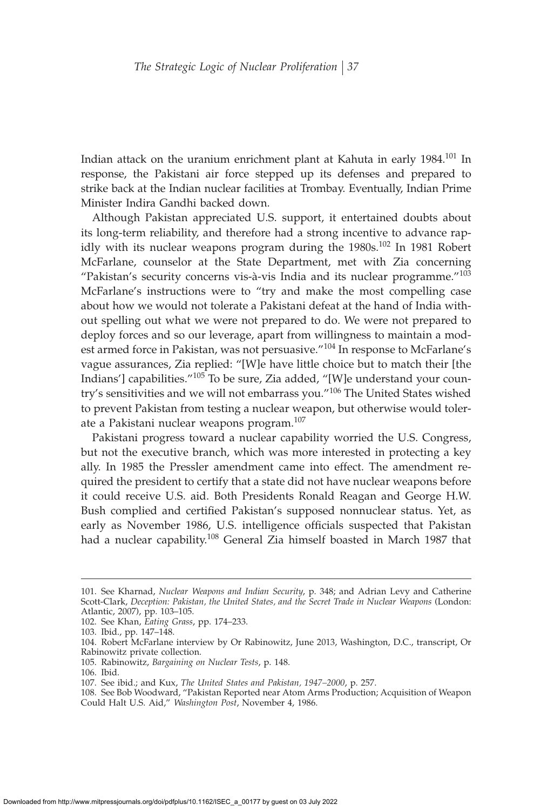Indian attack on the uranium enrichment plant at Kahuta in early 1984.<sup>101</sup> In response, the Pakistani air force stepped up its defenses and prepared to strike back at the Indian nuclear facilities at Trombay. Eventually, Indian Prime Minister Indira Gandhi backed down.

Although Pakistan appreciated U.S. support, it entertained doubts about its long-term reliability, and therefore had a strong incentive to advance rapidly with its nuclear weapons program during the  $1980s$ .<sup>102</sup> In 1981 Robert McFarlane, counselor at the State Department, met with Zia concerning "Pakistan's security concerns vis-à-vis India and its nuclear programme."<sup>103</sup> McFarlane's instructions were to "try and make the most compelling case about how we would not tolerate a Pakistani defeat at the hand of India without spelling out what we were not prepared to do. We were not prepared to deploy forces and so our leverage, apart from willingness to maintain a modest armed force in Pakistan, was not persuasive."<sup>104</sup> In response to McFarlane's vague assurances, Zia replied: "[W]e have little choice but to match their [the Indians'] capabilities."<sup>105</sup> To be sure, Zia added, "[W]e understand your country's sensitivities and we will not embarrass you."<sup>106</sup> The United States wished to prevent Pakistan from testing a nuclear weapon, but otherwise would tolerate a Pakistani nuclear weapons program.<sup>107</sup>

Pakistani progress toward a nuclear capability worried the U.S. Congress, but not the executive branch, which was more interested in protecting a key ally. In 1985 the Pressler amendment came into effect. The amendment required the president to certify that a state did not have nuclear weapons before it could receive U.S. aid. Both Presidents Ronald Reagan and George H.W. Bush complied and certified Pakistan's supposed nonnuclear status. Yet, as early as November 1986, U.S. intelligence officials suspected that Pakistan had a nuclear capability.<sup>108</sup> General Zia himself boasted in March 1987 that

<sup>101.</sup> See Kharnad, *Nuclear Weapons and Indian Security*, p. 348; and Adrian Levy and Catherine Scott-Clark, *Deception: Pakistan, the United States, and the Secret Trade in Nuclear Weapons* (London: Atlantic, 2007), pp. 103–105.

<sup>102.</sup> See Khan, *Eating Grass*, pp. 174–233.

<sup>103.</sup> Ibid., pp. 147–148.

<sup>104.</sup> Robert McFarlane interview by Or Rabinowitz, June 2013, Washington, D.C., transcript, Or Rabinowitz private collection.

<sup>105.</sup> Rabinowitz, *Bargaining on Nuclear Tests*, p. 148.

<sup>106.</sup> Ibid.

<sup>107.</sup> See ibid.; and Kux, *The United States and Pakistan, 1947–2000*, p. 257.

<sup>108.</sup> See Bob Woodward, "Pakistan Reported near Atom Arms Production; Acquisition of Weapon Could Halt U.S. Aid," *Washington Post*, November 4, 1986.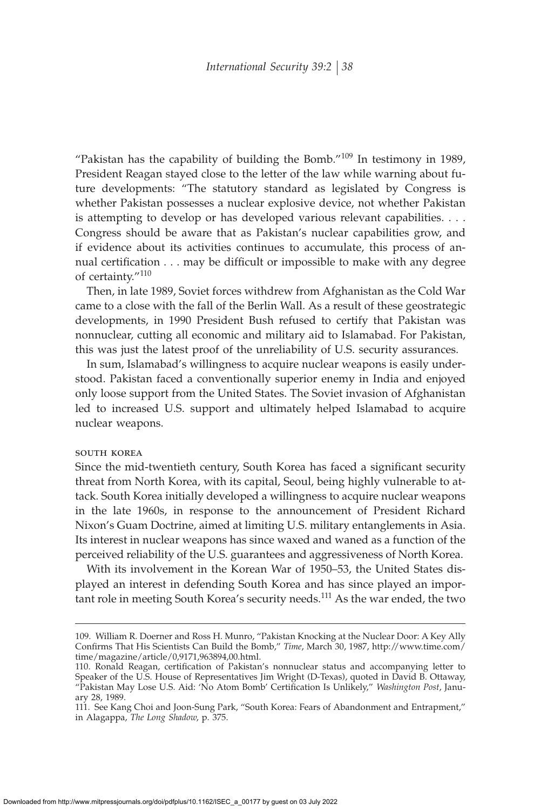"Pakistan has the capability of building the Bomb." $109$  In testimony in 1989, President Reagan stayed close to the letter of the law while warning about future developments: "The statutory standard as legislated by Congress is whether Pakistan possesses a nuclear explosive device, not whether Pakistan is attempting to develop or has developed various relevant capabilities.... Congress should be aware that as Pakistan's nuclear capabilities grow, and if evidence about its activities continues to accumulate, this process of annual certification . . . may be difficult or impossible to make with any degree of certainty."<sup>110</sup>

Then, in late 1989, Soviet forces withdrew from Afghanistan as the Cold War came to a close with the fall of the Berlin Wall. As a result of these geostrategic developments, in 1990 President Bush refused to certify that Pakistan was nonnuclear, cutting all economic and military aid to Islamabad. For Pakistan, this was just the latest proof of the unreliability of U.S. security assurances.

In sum, Islamabad's willingness to acquire nuclear weapons is easily understood. Pakistan faced a conventionally superior enemy in India and enjoyed only loose support from the United States. The Soviet invasion of Afghanistan led to increased U.S. support and ultimately helped Islamabad to acquire nuclear weapons.

#### south korea

Since the mid-twentieth century, South Korea has faced a significant security threat from North Korea, with its capital, Seoul, being highly vulnerable to attack. South Korea initially developed a willingness to acquire nuclear weapons in the late 1960s, in response to the announcement of President Richard Nixon's Guam Doctrine, aimed at limiting U.S. military entanglements in Asia. Its interest in nuclear weapons has since waxed and waned as a function of the perceived reliability of the U.S. guarantees and aggressiveness of North Korea.

With its involvement in the Korean War of 1950–53, the United States displayed an interest in defending South Korea and has since played an important role in meeting South Korea's security needs.<sup>111</sup> As the war ended, the two

<sup>109.</sup> William R. Doerner and Ross H. Munro, "Pakistan Knocking at the Nuclear Door: A Key Ally Confirms That His Scientists Can Build the Bomb," *Time*, March 30, 1987, http://www.time.com/ time/magazine/article/0,9171,963894,00.html.

<sup>110.</sup> Ronald Reagan, certification of Pakistan's nonnuclear status and accompanying letter to Speaker of the U.S. House of Representatives Jim Wright (D-Texas), quoted in David B. Ottaway, "Pakistan May Lose U.S. Aid: 'No Atom Bomb' Certification Is Unlikely," *Washington Post*, January 28, 1989.

<sup>111.</sup> See Kang Choi and Joon-Sung Park, "South Korea: Fears of Abandonment and Entrapment," in Alagappa, *The Long Shadow*, p. 375.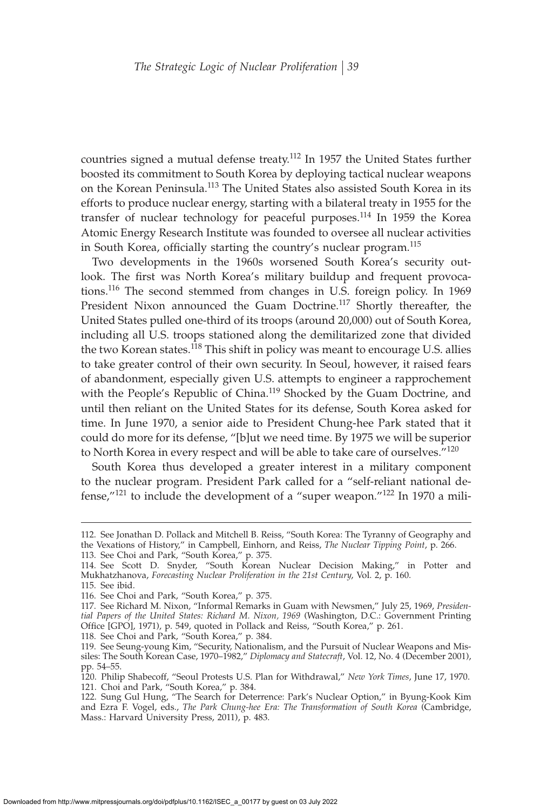countries signed a mutual defense treaty.<sup>112</sup> In 1957 the United States further boosted its commitment to South Korea by deploying tactical nuclear weapons on the Korean Peninsula.<sup>113</sup> The United States also assisted South Korea in its efforts to produce nuclear energy, starting with a bilateral treaty in 1955 for the transfer of nuclear technology for peaceful purposes.<sup>114</sup> In 1959 the Korea Atomic Energy Research Institute was founded to oversee all nuclear activities in South Korea, officially starting the country's nuclear program.<sup>115</sup>

Two developments in the 1960s worsened South Korea's security outlook. The first was North Korea's military buildup and frequent provocations.<sup>116</sup> The second stemmed from changes in U.S. foreign policy. In 1969 President Nixon announced the Guam Doctrine.<sup>117</sup> Shortly thereafter, the United States pulled one-third of its troops (around 20,000) out of South Korea, including all U.S. troops stationed along the demilitarized zone that divided the two Korean states.<sup>118</sup> This shift in policy was meant to encourage U.S. allies to take greater control of their own security. In Seoul, however, it raised fears of abandonment, especially given U.S. attempts to engineer a rapprochement with the People's Republic of China.<sup>119</sup> Shocked by the Guam Doctrine, and until then reliant on the United States for its defense, South Korea asked for time. In June 1970, a senior aide to President Chung-hee Park stated that it could do more for its defense, "[b]ut we need time. By 1975 we will be superior to North Korea in every respect and will be able to take care of ourselves."<sup>120</sup>

South Korea thus developed a greater interest in a military component to the nuclear program. President Park called for a "self-reliant national defense,"<sup>121</sup> to include the development of a "super weapon."<sup>122</sup> In 1970 a mili-

113. See Choi and Park, "South Korea," p. 375.

115. See ibid.

118. See Choi and Park, "South Korea," p. 384.

<sup>112.</sup> See Jonathan D. Pollack and Mitchell B. Reiss, "South Korea: The Tyranny of Geography and the Vexations of History," in Campbell, Einhorn, and Reiss, *The Nuclear Tipping Point*, p. 266.

<sup>114.</sup> See Scott D. Snyder, "South Korean Nuclear Decision Making," in Potter and Mukhatzhanova, *Forecasting Nuclear Proliferation in the 21st Century*, Vol. 2, p. 160.

<sup>116.</sup> See Choi and Park, "South Korea," p. 375.

<sup>117.</sup> See Richard M. Nixon, "Informal Remarks in Guam with Newsmen," July 25, 1969, *Presidential Papers of the United States: Richard M. Nixon, 1969* (Washington, D.C.: Government Printing Office [GPO], 1971), p. 549, quoted in Pollack and Reiss, "South Korea," p. 261.

<sup>119.</sup> See Seung-young Kim, "Security, Nationalism, and the Pursuit of Nuclear Weapons and Missiles: The South Korean Case, 1970–1982," *Diplomacy and Statecraft*, Vol. 12, No. 4 (December 2001), pp. 54–55.

<sup>120.</sup> Philip Shabecoff, "Seoul Protests U.S. Plan for Withdrawal," *New York Times*, June 17, 1970. 121. Choi and Park, "South Korea," p. 384.

<sup>122.</sup> Sung Gul Hung, "The Search for Deterrence: Park's Nuclear Option," in Byung-Kook Kim and Ezra F. Vogel, eds., *The Park Chung-hee Era: The Transformation of South Korea* (Cambridge, Mass.: Harvard University Press, 2011), p. 483.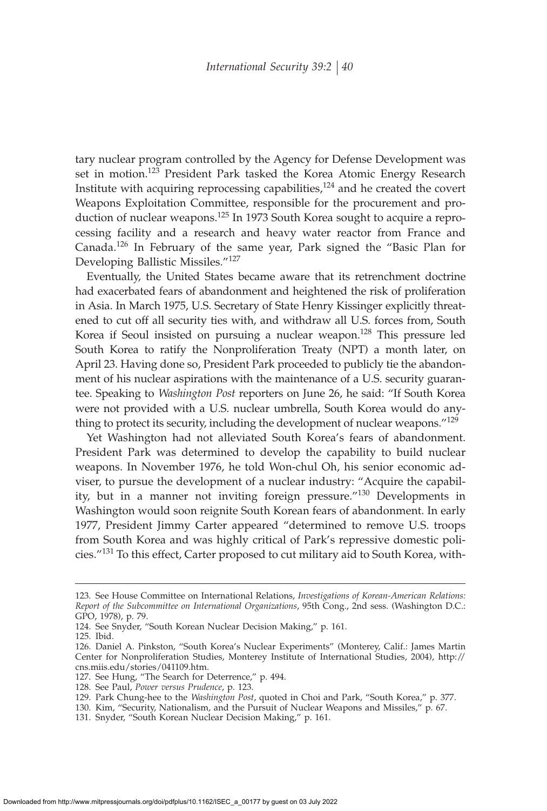tary nuclear program controlled by the Agency for Defense Development was set in motion.<sup>123</sup> President Park tasked the Korea Atomic Energy Research Institute with acquiring reprocessing capabilities,<sup>124</sup> and he created the covert Weapons Exploitation Committee, responsible for the procurement and production of nuclear weapons.<sup>125</sup> In 1973 South Korea sought to acquire a reprocessing facility and a research and heavy water reactor from France and Canada.<sup>126</sup> In February of the same year, Park signed the "Basic Plan for Developing Ballistic Missiles."<sup>127</sup>

Eventually, the United States became aware that its retrenchment doctrine had exacerbated fears of abandonment and heightened the risk of proliferation in Asia. In March 1975, U.S. Secretary of State Henry Kissinger explicitly threatened to cut off all security ties with, and withdraw all U.S. forces from, South Korea if Seoul insisted on pursuing a nuclear weapon.128 This pressure led South Korea to ratify the Nonproliferation Treaty (NPT) a month later, on April 23. Having done so, President Park proceeded to publicly tie the abandonment of his nuclear aspirations with the maintenance of a U.S. security guarantee. Speaking to *Washington Post* reporters on June 26, he said: "If South Korea were not provided with a U.S. nuclear umbrella, South Korea would do anything to protect its security, including the development of nuclear weapons."<sup>129</sup>

Yet Washington had not alleviated South Korea's fears of abandonment. President Park was determined to develop the capability to build nuclear weapons. In November 1976, he told Won-chul Oh, his senior economic adviser, to pursue the development of a nuclear industry: "Acquire the capability, but in a manner not inviting foreign pressure."<sup>130</sup> Developments in Washington would soon reignite South Korean fears of abandonment. In early 1977, President Jimmy Carter appeared "determined to remove U.S. troops from South Korea and was highly critical of Park's repressive domestic policies."131 To this effect, Carter proposed to cut military aid to South Korea, with-

- 127. See Hung, "The Search for Deterrence," p. 494.
- 128. See Paul, *Power versus Prudence*, p. 123.
- 129. Park Chung-hee to the *Washington Post*, quoted in Choi and Park, "South Korea," p. 377.

131. Snyder, "South Korean Nuclear Decision Making," p. 161.

<sup>123.</sup> See House Committee on International Relations, *Investigations of Korean-American Relations: Report of the Subcommittee on International Organizations*, 95th Cong., 2nd sess. (Washington D.C.: GPO, 1978), p. 79.

<sup>124.</sup> See Snyder, "South Korean Nuclear Decision Making," p. 161.

<sup>125.</sup> Ibid.

<sup>126.</sup> Daniel A. Pinkston, "South Korea's Nuclear Experiments" (Monterey, Calif.: James Martin Center for Nonproliferation Studies, Monterey Institute of International Studies, 2004), http:// cns.miis.edu/stories/041109.htm.

<sup>130.</sup> Kim, "Security, Nationalism, and the Pursuit of Nuclear Weapons and Missiles," p. 67.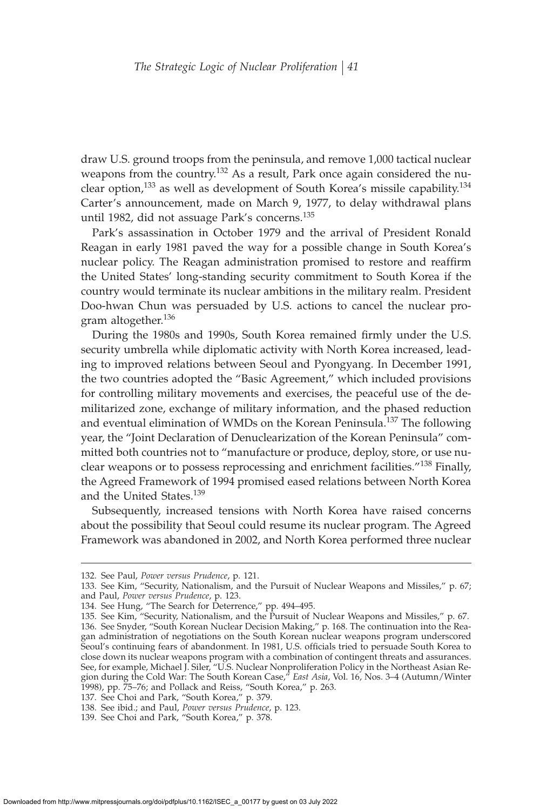draw U.S. ground troops from the peninsula, and remove 1,000 tactical nuclear weapons from the country.<sup>132</sup> As a result, Park once again considered the nuclear option,<sup>133</sup> as well as development of South Korea's missile capability.<sup>134</sup> Carter's announcement, made on March 9, 1977, to delay withdrawal plans until 1982, did not assuage Park's concerns.<sup>135</sup>

Park's assassination in October 1979 and the arrival of President Ronald Reagan in early 1981 paved the way for a possible change in South Korea's nuclear policy. The Reagan administration promised to restore and reaffirm the United States' long-standing security commitment to South Korea if the country would terminate its nuclear ambitions in the military realm. President Doo-hwan Chun was persuaded by U.S. actions to cancel the nuclear program altogether.<sup>136</sup>

During the 1980s and 1990s, South Korea remained firmly under the U.S. security umbrella while diplomatic activity with North Korea increased, leading to improved relations between Seoul and Pyongyang. In December 1991, the two countries adopted the "Basic Agreement," which included provisions for controlling military movements and exercises, the peaceful use of the demilitarized zone, exchange of military information, and the phased reduction and eventual elimination of WMDs on the Korean Peninsula.<sup>137</sup> The following year, the "Joint Declaration of Denuclearization of the Korean Peninsula" committed both countries not to "manufacture or produce, deploy, store, or use nuclear weapons or to possess reprocessing and enrichment facilities."<sup>138</sup> Finally, the Agreed Framework of 1994 promised eased relations between North Korea and the United States.<sup>139</sup>

Subsequently, increased tensions with North Korea have raised concerns about the possibility that Seoul could resume its nuclear program. The Agreed Framework was abandoned in 2002, and North Korea performed three nuclear

<sup>132.</sup> See Paul, *Power versus Prudence*, p. 121.

<sup>133.</sup> See Kim, "Security, Nationalism, and the Pursuit of Nuclear Weapons and Missiles," p. 67; and Paul, *Power versus Prudence*, p. 123.

<sup>134.</sup> See Hung, "The Search for Deterrence," pp. 494–495.

<sup>135.</sup> See Kim, "Security, Nationalism, and the Pursuit of Nuclear Weapons and Missiles," p. 67. 136. See Snyder, "South Korean Nuclear Decision Making," p. 168. The continuation into the Reagan administration of negotiations on the South Korean nuclear weapons program underscored Seoul's continuing fears of abandonment. In 1981, U.S. officials tried to persuade South Korea to close down its nuclear weapons program with a combination of contingent threats and assurances. See, for example, Michael J. Siler, "U.S. Nuclear Nonproliferation Policy in the Northeast Asian Region during the Cold War: The South Korean Case," *East Asia*, Vol. 16, Nos. 3–4 (Autumn/Winter 1998), pp. 75–76; and Pollack and Reiss, "South Korea," p. 263.

<sup>137.</sup> See Choi and Park, "South Korea," p. 379.

<sup>138.</sup> See ibid.; and Paul, *Power versus Prudence*, p. 123.

<sup>139.</sup> See Choi and Park, "South Korea," p. 378.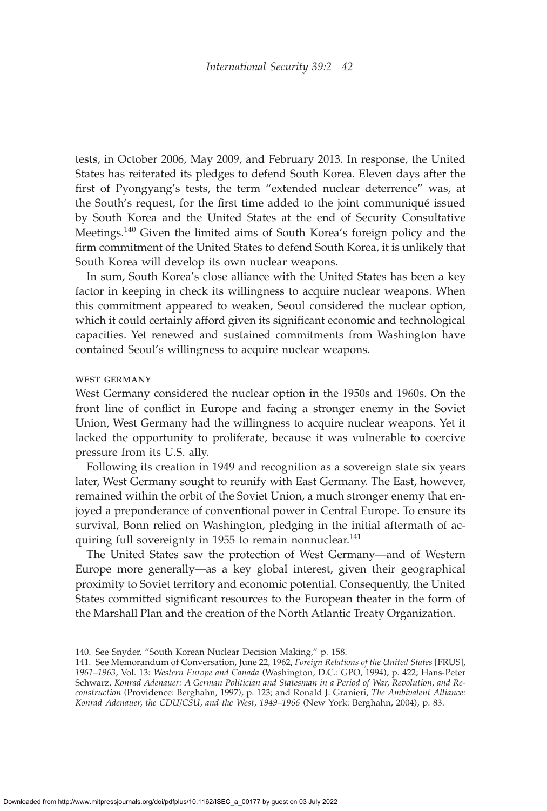tests, in October 2006, May 2009, and February 2013. In response, the United States has reiterated its pledges to defend South Korea. Eleven days after the first of Pyongyang's tests, the term "extended nuclear deterrence" was, at the South's request, for the first time added to the joint communiqué issued by South Korea and the United States at the end of Security Consultative Meetings.<sup>140</sup> Given the limited aims of South Korea's foreign policy and the firm commitment of the United States to defend South Korea, it is unlikely that South Korea will develop its own nuclear weapons.

In sum, South Korea's close alliance with the United States has been a key factor in keeping in check its willingness to acquire nuclear weapons. When this commitment appeared to weaken, Seoul considered the nuclear option, which it could certainly afford given its significant economic and technological capacities. Yet renewed and sustained commitments from Washington have contained Seoul's willingness to acquire nuclear weapons.

## west germany

West Germany considered the nuclear option in the 1950s and 1960s. On the front line of conflict in Europe and facing a stronger enemy in the Soviet Union, West Germany had the willingness to acquire nuclear weapons. Yet it lacked the opportunity to proliferate, because it was vulnerable to coercive pressure from its U.S. ally.

Following its creation in 1949 and recognition as a sovereign state six years later, West Germany sought to reunify with East Germany. The East, however, remained within the orbit of the Soviet Union, a much stronger enemy that enjoyed a preponderance of conventional power in Central Europe. To ensure its survival, Bonn relied on Washington, pledging in the initial aftermath of acquiring full sovereignty in 1955 to remain nonnuclear.<sup>141</sup>

The United States saw the protection of West Germany—and of Western Europe more generally—as a key global interest, given their geographical proximity to Soviet territory and economic potential. Consequently, the United States committed significant resources to the European theater in the form of the Marshall Plan and the creation of the North Atlantic Treaty Organization.

<sup>140.</sup> See Snyder, "South Korean Nuclear Decision Making," p. 158.

<sup>141.</sup> See Memorandum of Conversation, June 22, 1962, *Foreign Relations of the United States* [FRUS], *1961–1963*, Vol. 13: *Western Europe and Canada* (Washington, D.C.: GPO, 1994), p. 422; Hans-Peter Schwarz, *Konrad Adenauer: A German Politician and Statesman in a Period of War, Revolution, and Reconstruction* (Providence: Berghahn, 1997), p. 123; and Ronald J. Granieri, *The Ambivalent Alliance: Konrad Adenauer, the CDU/CSU, and the West, 1949–1966* (New York: Berghahn, 2004), p. 83.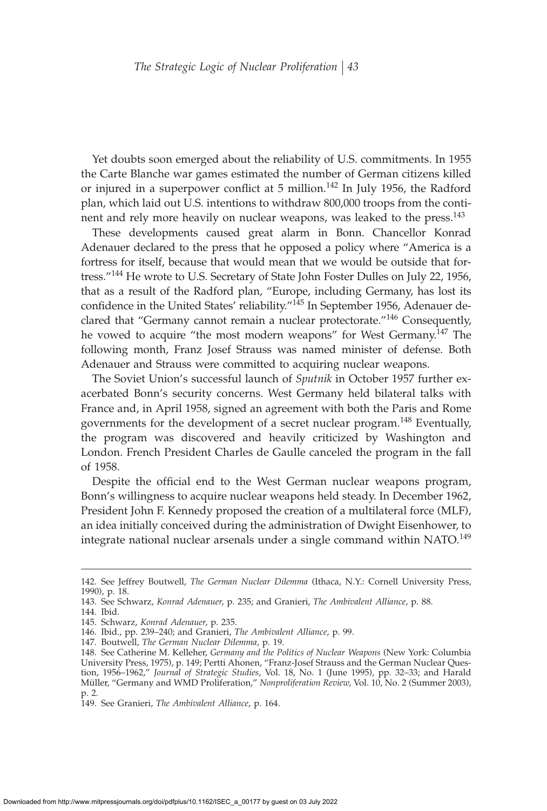Yet doubts soon emerged about the reliability of U.S. commitments. In 1955 the Carte Blanche war games estimated the number of German citizens killed or injured in a superpower conflict at 5 million.<sup>142</sup> In July 1956, the Radford plan, which laid out U.S. intentions to withdraw 800,000 troops from the continent and rely more heavily on nuclear weapons, was leaked to the press.<sup>143</sup>

These developments caused great alarm in Bonn. Chancellor Konrad Adenauer declared to the press that he opposed a policy where "America is a fortress for itself, because that would mean that we would be outside that fortress."<sup>144</sup> He wrote to U.S. Secretary of State John Foster Dulles on July 22, 1956, that as a result of the Radford plan, "Europe, including Germany, has lost its confidence in the United States' reliability."<sup>145</sup> In September 1956, Adenauer declared that "Germany cannot remain a nuclear protectorate."146 Consequently, he vowed to acquire "the most modern weapons" for West Germany.<sup>147</sup> The following month, Franz Josef Strauss was named minister of defense. Both Adenauer and Strauss were committed to acquiring nuclear weapons.

The Soviet Union's successful launch of *Sputnik* in October 1957 further exacerbated Bonn's security concerns. West Germany held bilateral talks with France and, in April 1958, signed an agreement with both the Paris and Rome governments for the development of a secret nuclear program.<sup>148</sup> Eventually, the program was discovered and heavily criticized by Washington and London. French President Charles de Gaulle canceled the program in the fall of 1958.

Despite the official end to the West German nuclear weapons program, Bonn's willingness to acquire nuclear weapons held steady. In December 1962, President John F. Kennedy proposed the creation of a multilateral force (MLF), an idea initially conceived during the administration of Dwight Eisenhower, to integrate national nuclear arsenals under a single command within NATO.<sup>149</sup>

<sup>142.</sup> See Jeffrey Boutwell, *The German Nuclear Dilemma* (Ithaca, N.Y.: Cornell University Press, 1990), p. 18.

<sup>143.</sup> See Schwarz, *Konrad Adenauer*, p. 235; and Granieri, *The Ambivalent Alliance*, p. 88.

<sup>144.</sup> Ibid.

<sup>145.</sup> Schwarz, *Konrad Adenauer*, p. 235.

<sup>146.</sup> Ibid., pp. 239–240; and Granieri, *The Ambivalent Alliance*, p. 99.

<sup>147.</sup> Boutwell, *The German Nuclear Dilemma*, p. 19.

<sup>148.</sup> See Catherine M. Kelleher, *Germany and the Politics of Nuclear Weapons* (New York: Columbia University Press, 1975), p. 149; Pertti Ahonen, "Franz-Josef Strauss and the German Nuclear Question, 1956–1962," *Journal of Strategic Studies*, Vol. 18, No. 1 (June 1995), pp. 32–33; and Harald Müller, "Germany and WMD Proliferation," *Nonproliferation Review*, Vol. 10, No. 2 (Summer 2003), p. 2.

<sup>149.</sup> See Granieri, *The Ambivalent Alliance*, p. 164.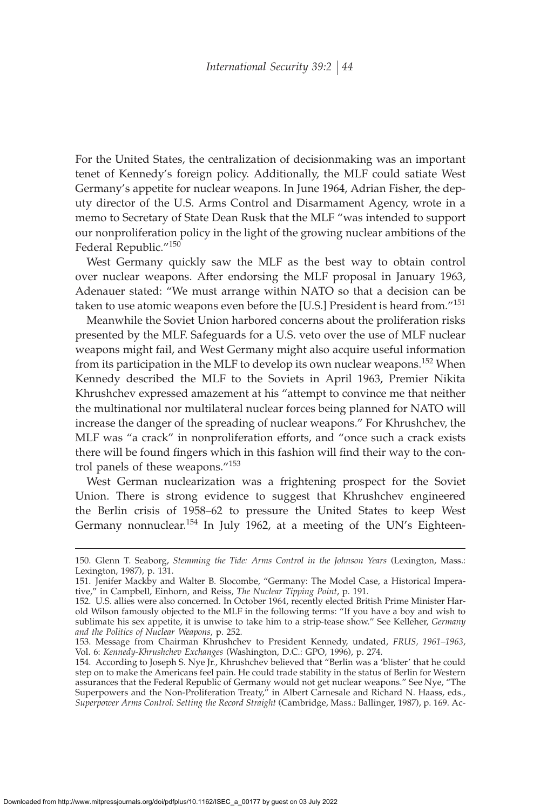For the United States, the centralization of decisionmaking was an important tenet of Kennedy's foreign policy. Additionally, the MLF could satiate West Germany's appetite for nuclear weapons. In June 1964, Adrian Fisher, the deputy director of the U.S. Arms Control and Disarmament Agency, wrote in a memo to Secretary of State Dean Rusk that the MLF "was intended to support our nonproliferation policy in the light of the growing nuclear ambitions of the Federal Republic."<sup>150</sup>

West Germany quickly saw the MLF as the best way to obtain control over nuclear weapons. After endorsing the MLF proposal in January 1963, Adenauer stated: "We must arrange within NATO so that a decision can be taken to use atomic weapons even before the [U.S.] President is heard from."<sup>151</sup>

Meanwhile the Soviet Union harbored concerns about the proliferation risks presented by the MLF. Safeguards for a U.S. veto over the use of MLF nuclear weapons might fail, and West Germany might also acquire useful information from its participation in the MLF to develop its own nuclear weapons.<sup>152</sup> When Kennedy described the MLF to the Soviets in April 1963, Premier Nikita Khrushchev expressed amazement at his "attempt to convince me that neither the multinational nor multilateral nuclear forces being planned for NATO will increase the danger of the spreading of nuclear weapons." For Khrushchev, the MLF was "a crack" in nonproliferation efforts, and "once such a crack exists there will be found fingers which in this fashion will find their way to the control panels of these weapons."<sup>153</sup>

West German nuclearization was a frightening prospect for the Soviet Union. There is strong evidence to suggest that Khrushchev engineered the Berlin crisis of 1958–62 to pressure the United States to keep West Germany nonnuclear.<sup>154</sup> In July 1962, at a meeting of the UN's Eighteen-

<sup>150.</sup> Glenn T. Seaborg, *Stemming the Tide: Arms Control in the Johnson Years* (Lexington, Mass.: Lexington, 1987), p. 131.

<sup>151.</sup> Jenifer Mackby and Walter B. Slocombe, "Germany: The Model Case, a Historical Imperative," in Campbell, Einhorn, and Reiss, *The Nuclear Tipping Point*, p. 191.

<sup>152.</sup> U.S. allies were also concerned. In October 1964, recently elected British Prime Minister Harold Wilson famously objected to the MLF in the following terms: "If you have a boy and wish to sublimate his sex appetite, it is unwise to take him to a strip-tease show." See Kelleher, *Germany and the Politics of Nuclear Weapons*, p. 252.

<sup>153.</sup> Message from Chairman Khrushchev to President Kennedy, undated, *FRUS, 1961–1963*, Vol. 6: *Kennedy-Khrushchev Exchanges* (Washington, D.C.: GPO, 1996), p. 274.

<sup>154.</sup> According to Joseph S. Nye Jr., Khrushchev believed that "Berlin was a 'blister' that he could step on to make the Americans feel pain. He could trade stability in the status of Berlin for Western assurances that the Federal Republic of Germany would not get nuclear weapons." See Nye, "The Superpowers and the Non-Proliferation Treaty," in Albert Carnesale and Richard N. Haass, eds., *Superpower Arms Control: Setting the Record Straight* (Cambridge, Mass.: Ballinger, 1987), p. 169. Ac-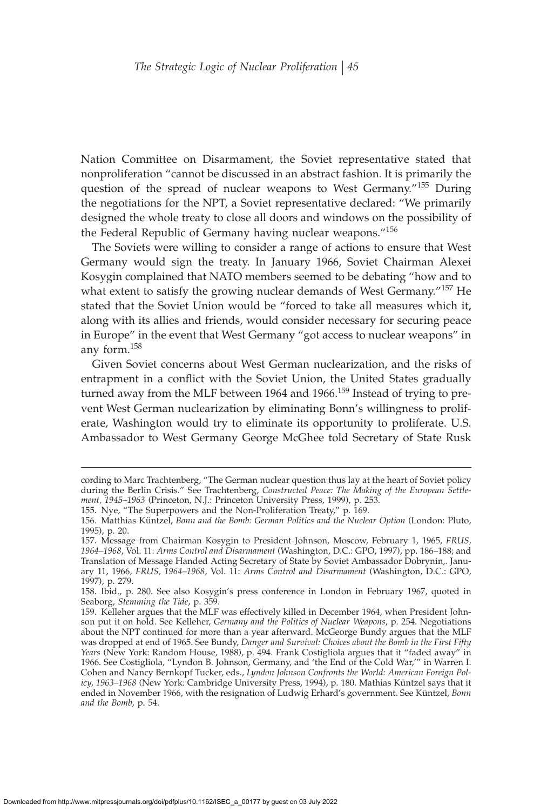Nation Committee on Disarmament, the Soviet representative stated that nonproliferation "cannot be discussed in an abstract fashion. It is primarily the question of the spread of nuclear weapons to West Germany."<sup>155</sup> During the negotiations for the NPT, a Soviet representative declared: "We primarily designed the whole treaty to close all doors and windows on the possibility of the Federal Republic of Germany having nuclear weapons."<sup>156</sup>

The Soviets were willing to consider a range of actions to ensure that West Germany would sign the treaty. In January 1966, Soviet Chairman Alexei Kosygin complained that NATO members seemed to be debating "how and to what extent to satisfy the growing nuclear demands of West Germany."<sup>157</sup> He stated that the Soviet Union would be "forced to take all measures which it, along with its allies and friends, would consider necessary for securing peace in Europe" in the event that West Germany "got access to nuclear weapons" in any form.<sup>158</sup>

Given Soviet concerns about West German nuclearization, and the risks of entrapment in a conflict with the Soviet Union, the United States gradually turned away from the MLF between 1964 and 1966.<sup>159</sup> Instead of trying to prevent West German nuclearization by eliminating Bonn's willingness to proliferate, Washington would try to eliminate its opportunity to proliferate. U.S. Ambassador to West Germany George McGhee told Secretary of State Rusk

cording to Marc Trachtenberg, "The German nuclear question thus lay at the heart of Soviet policy during the Berlin Crisis." See Trachtenberg, *Constructed Peace: The Making of the European Settlement, 1945–1963* (Princeton, N.J.: Princeton University Press, 1999), p. 253.

<sup>155.</sup> Nye, "The Superpowers and the Non-Proliferation Treaty," p. 169.

<sup>156.</sup> Matthias Küntzel, *Bonn and the Bomb: German Politics and the Nuclear Option* (London: Pluto, 1995), p. 20.

<sup>157.</sup> Message from Chairman Kosygin to President Johnson, Moscow, February 1, 1965, *FRUS, 1964–1968*, Vol. 11: *Arms Control and Disarmament* (Washington, D.C.: GPO, 1997), pp. 186–188; and Translation of Message Handed Acting Secretary of State by Soviet Ambassador Dobrynin,. January 11, 1966, *FRUS, 1964–1968*, Vol. 11: *Arms Control and Disarmament* (Washington, D.C.: GPO, 1997), p. 279.

<sup>158.</sup> Ibid., p. 280. See also Kosygin's press conference in London in February 1967, quoted in Seaborg, *Stemming the Tide*, p. 359.

<sup>159.</sup> Kelleher argues that the MLF was effectively killed in December 1964, when President Johnson put it on hold. See Kelleher, *Germany and the Politics of Nuclear Weapons*, p. 254. Negotiations about the NPT continued for more than a year afterward. McGeorge Bundy argues that the MLF was dropped at end of 1965. See Bundy, *Danger and Survival: Choices about the Bomb in the First Fifty Years* (New York: Random House, 1988), p. 494. Frank Costigliola argues that it "faded away" in 1966. See Costigliola, "Lyndon B. Johnson, Germany, and 'the End of the Cold War,'" in Warren I. Cohen and Nancy Bernkopf Tucker, eds., *Lyndon Johnson Confronts the World: American Foreign Policy, 1963–1968* (New York: Cambridge University Press, 1994), p. 180. Mathias Küntzel says that it ended in November 1966, with the resignation of Ludwig Erhard's government. See Küntzel, *Bonn and the Bomb*, p. 54.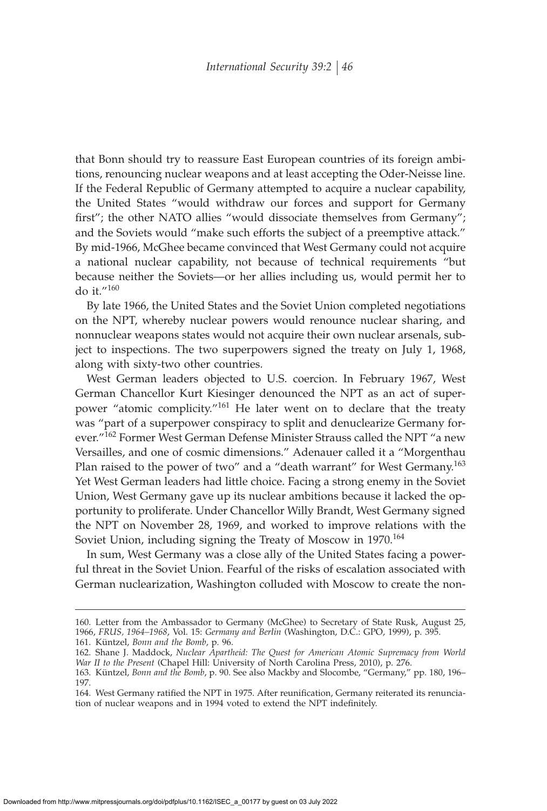that Bonn should try to reassure East European countries of its foreign ambitions, renouncing nuclear weapons and at least accepting the Oder-Neisse line. If the Federal Republic of Germany attempted to acquire a nuclear capability, the United States "would withdraw our forces and support for Germany first"; the other NATO allies "would dissociate themselves from Germany"; and the Soviets would "make such efforts the subject of a preemptive attack." By mid-1966, McGhee became convinced that West Germany could not acquire a national nuclear capability, not because of technical requirements "but because neither the Soviets—or her allies including us, would permit her to do it. $^{\prime\prime}$ <sup>160</sup>

By late 1966, the United States and the Soviet Union completed negotiations on the NPT, whereby nuclear powers would renounce nuclear sharing, and nonnuclear weapons states would not acquire their own nuclear arsenals, subject to inspections. The two superpowers signed the treaty on July 1, 1968, along with sixty-two other countries.

West German leaders objected to U.S. coercion. In February 1967, West German Chancellor Kurt Kiesinger denounced the NPT as an act of superpower "atomic complicity."<sup>161</sup> He later went on to declare that the treaty was "part of a superpower conspiracy to split and denuclearize Germany forever."<sup>162</sup> Former West German Defense Minister Strauss called the NPT "a new Versailles, and one of cosmic dimensions." Adenauer called it a "Morgenthau Plan raised to the power of two" and a "death warrant" for West Germany.<sup>163</sup> Yet West German leaders had little choice. Facing a strong enemy in the Soviet Union, West Germany gave up its nuclear ambitions because it lacked the opportunity to proliferate. Under Chancellor Willy Brandt, West Germany signed the NPT on November 28, 1969, and worked to improve relations with the Soviet Union, including signing the Treaty of Moscow in 1970.<sup>164</sup>

In sum, West Germany was a close ally of the United States facing a powerful threat in the Soviet Union. Fearful of the risks of escalation associated with German nuclearization, Washington colluded with Moscow to create the non-

<sup>160.</sup> Letter from the Ambassador to Germany (McGhee) to Secretary of State Rusk, August 25, 1966, *FRUS, 1964–1968*, Vol. 15: *Germany and Berlin* (Washington, D.C.: GPO, 1999), p. 395. 161. Küntzel, *Bonn and the Bomb*, p. 96.

<sup>162.</sup> Shane J. Maddock, *Nuclear Apartheid: The Quest for American Atomic Supremacy from World War II to the Present* (Chapel Hill: University of North Carolina Press, 2010), p. 276.

<sup>163.</sup> Küntzel, *Bonn and the Bomb*, p. 90. See also Mackby and Slocombe, "Germany," pp. 180, 196– 197.

<sup>164.</sup> West Germany ratified the NPT in 1975. After reunification, Germany reiterated its renunciation of nuclear weapons and in 1994 voted to extend the NPT indefinitely.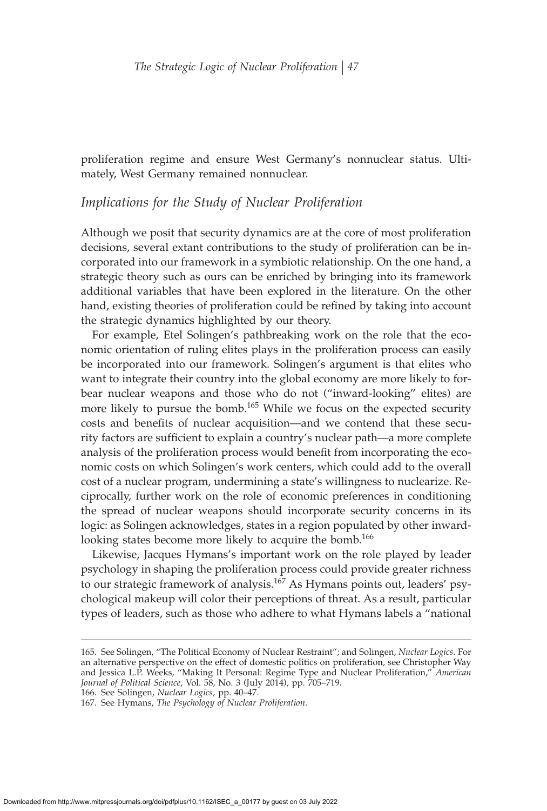proliferation regime and ensure West Germany's nonnuclear status. Ultimately, West Germany remained nonnuclear.

# *Implications for the Study of Nuclear Proliferation*

Although we posit that security dynamics are at the core of most proliferation decisions, several extant contributions to the study of proliferation can be incorporated into our framework in a symbiotic relationship. On the one hand, a strategic theory such as ours can be enriched by bringing into its framework additional variables that have been explored in the literature. On the other hand, existing theories of proliferation could be refined by taking into account the strategic dynamics highlighted by our theory.

For example, Etel Solingen's pathbreaking work on the role that the economic orientation of ruling elites plays in the proliferation process can easily be incorporated into our framework. Solingen's argument is that elites who want to integrate their country into the global economy are more likely to forbear nuclear weapons and those who do not ("inward-looking" elites) are more likely to pursue the bomb.<sup>165</sup> While we focus on the expected security costs and benefits of nuclear acquisition—and we contend that these security factors are sufficient to explain a country's nuclear path—a more complete analysis of the proliferation process would benefit from incorporating the economic costs on which Solingen's work centers, which could add to the overall cost of a nuclear program, undermining a state's willingness to nuclearize. Reciprocally, further work on the role of economic preferences in conditioning the spread of nuclear weapons should incorporate security concerns in its logic: as Solingen acknowledges, states in a region populated by other inwardlooking states become more likely to acquire the bomb.<sup>166</sup>

Likewise, Jacques Hymans's important work on the role played by leader psychology in shaping the proliferation process could provide greater richness to our strategic framework of analysis.<sup>167</sup> As Hymans points out, leaders' psychological makeup will color their perceptions of threat. As a result, particular types of leaders, such as those who adhere to what Hymans labels a "national

<sup>165.</sup> See Solingen, "The Political Economy of Nuclear Restraint"; and Solingen, *Nuclear Logics*. For an alternative perspective on the effect of domestic politics on proliferation, see Christopher Way and Jessica L.P. Weeks, "Making It Personal: Regime Type and Nuclear Proliferation," *American Journal of Political Science*, Vol. 58, No. 3 (July 2014), pp. 705–719.

<sup>166.</sup> See Solingen, *Nuclear Logics*, pp. 40–47.

<sup>167.</sup> See Hymans, *The Psychology of Nuclear Proliferation*.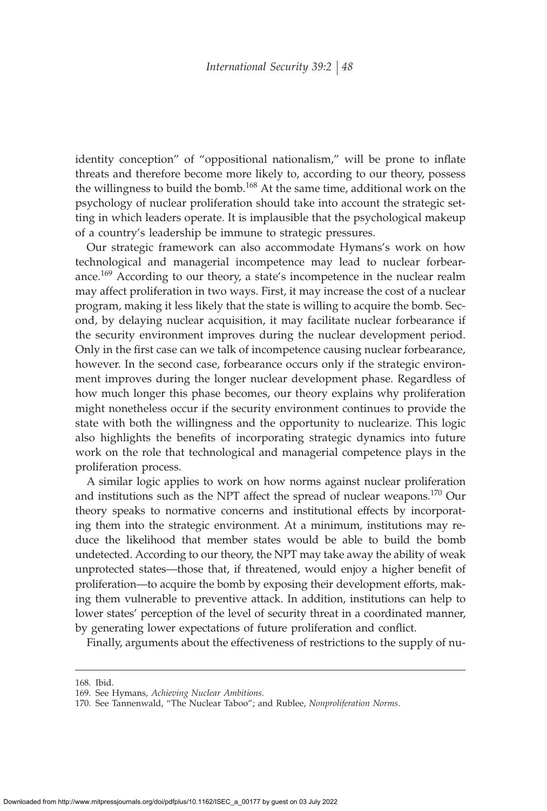identity conception" of "oppositional nationalism," will be prone to inflate threats and therefore become more likely to, according to our theory, possess the willingness to build the bomb.<sup>168</sup> At the same time, additional work on the psychology of nuclear proliferation should take into account the strategic setting in which leaders operate. It is implausible that the psychological makeup of a country's leadership be immune to strategic pressures.

Our strategic framework can also accommodate Hymans's work on how technological and managerial incompetence may lead to nuclear forbearance.<sup>169</sup> According to our theory, a state's incompetence in the nuclear realm may affect proliferation in two ways. First, it may increase the cost of a nuclear program, making it less likely that the state is willing to acquire the bomb. Second, by delaying nuclear acquisition, it may facilitate nuclear forbearance if the security environment improves during the nuclear development period. Only in the first case can we talk of incompetence causing nuclear forbearance, however. In the second case, forbearance occurs only if the strategic environment improves during the longer nuclear development phase. Regardless of how much longer this phase becomes, our theory explains why proliferation might nonetheless occur if the security environment continues to provide the state with both the willingness and the opportunity to nuclearize. This logic also highlights the benefits of incorporating strategic dynamics into future work on the role that technological and managerial competence plays in the proliferation process.

A similar logic applies to work on how norms against nuclear proliferation and institutions such as the NPT affect the spread of nuclear weapons.<sup>170</sup> Our theory speaks to normative concerns and institutional effects by incorporating them into the strategic environment. At a minimum, institutions may reduce the likelihood that member states would be able to build the bomb undetected. According to our theory, the NPT may take away the ability of weak unprotected states—those that, if threatened, would enjoy a higher benefit of proliferation—to acquire the bomb by exposing their development efforts, making them vulnerable to preventive attack. In addition, institutions can help to lower states' perception of the level of security threat in a coordinated manner, by generating lower expectations of future proliferation and conflict.

Finally, arguments about the effectiveness of restrictions to the supply of nu-

<sup>168.</sup> Ibid.

<sup>169.</sup> See Hymans, *Achieving Nuclear Ambitions*.

<sup>170.</sup> See Tannenwald, "The Nuclear Taboo"; and Rublee, *Nonproliferation Norms*.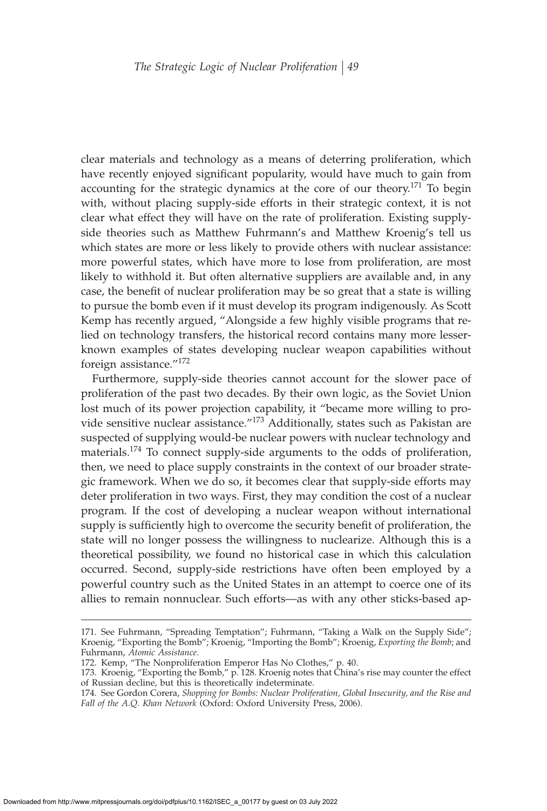clear materials and technology as a means of deterring proliferation, which have recently enjoyed significant popularity, would have much to gain from accounting for the strategic dynamics at the core of our theory.<sup>171</sup> To begin with, without placing supply-side efforts in their strategic context, it is not clear what effect they will have on the rate of proliferation. Existing supplyside theories such as Matthew Fuhrmann's and Matthew Kroenig's tell us which states are more or less likely to provide others with nuclear assistance: more powerful states, which have more to lose from proliferation, are most likely to withhold it. But often alternative suppliers are available and, in any case, the benefit of nuclear proliferation may be so great that a state is willing to pursue the bomb even if it must develop its program indigenously. As Scott Kemp has recently argued, "Alongside a few highly visible programs that relied on technology transfers, the historical record contains many more lesserknown examples of states developing nuclear weapon capabilities without foreign assistance."<sup>172</sup>

Furthermore, supply-side theories cannot account for the slower pace of proliferation of the past two decades. By their own logic, as the Soviet Union lost much of its power projection capability, it "became more willing to provide sensitive nuclear assistance."<sup>173</sup> Additionally, states such as Pakistan are suspected of supplying would-be nuclear powers with nuclear technology and materials.<sup>174</sup> To connect supply-side arguments to the odds of proliferation, then, we need to place supply constraints in the context of our broader strategic framework. When we do so, it becomes clear that supply-side efforts may deter proliferation in two ways. First, they may condition the cost of a nuclear program. If the cost of developing a nuclear weapon without international supply is sufficiently high to overcome the security benefit of proliferation, the state will no longer possess the willingness to nuclearize. Although this is a theoretical possibility, we found no historical case in which this calculation occurred. Second, supply-side restrictions have often been employed by a powerful country such as the United States in an attempt to coerce one of its allies to remain nonnuclear. Such efforts—as with any other sticks-based ap-

<sup>171.</sup> See Fuhrmann, "Spreading Temptation"; Fuhrmann, "Taking a Walk on the Supply Side"; Kroenig, "Exporting the Bomb"; Kroenig, "Importing the Bomb"; Kroenig, *Exporting the Bomb*; and Fuhrmann, *Atomic Assistance*.

<sup>172.</sup> Kemp, "The Nonproliferation Emperor Has No Clothes," p. 40.

<sup>173.</sup> Kroenig, "Exporting the Bomb," p. 128. Kroenig notes that China's rise may counter the effect of Russian decline, but this is theoretically indeterminate.

<sup>174.</sup> See Gordon Corera, *Shopping for Bombs: Nuclear Proliferation, Global Insecurity, and the Rise and Fall of the A.Q. Khan Network* (Oxford: Oxford University Press, 2006).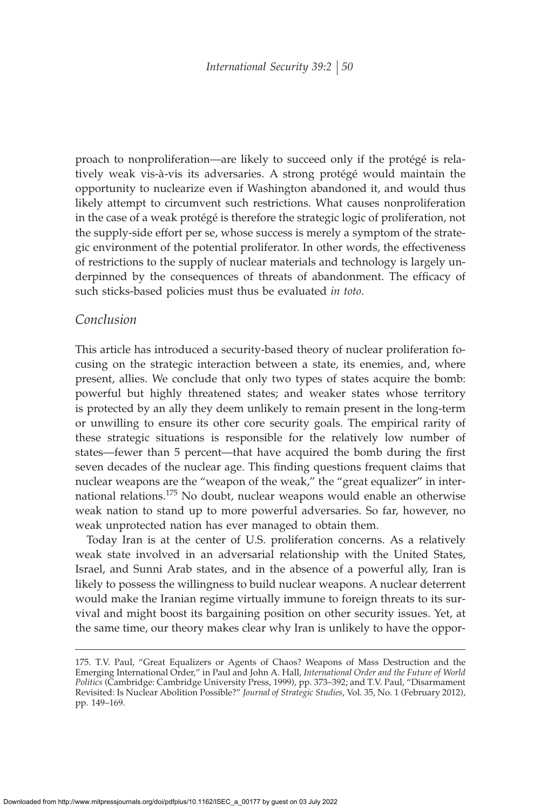proach to nonproliferation—are likely to succeed only if the protégé is relatively weak vis-à-vis its adversaries. A strong protégé would maintain the opportunity to nuclearize even if Washington abandoned it, and would thus likely attempt to circumvent such restrictions. What causes nonproliferation in the case of a weak protégé is therefore the strategic logic of proliferation, not the supply-side effort per se, whose success is merely a symptom of the strategic environment of the potential proliferator. In other words, the effectiveness of restrictions to the supply of nuclear materials and technology is largely underpinned by the consequences of threats of abandonment. The efficacy of such sticks-based policies must thus be evaluated *in toto*.

# *Conclusion*

This article has introduced a security-based theory of nuclear proliferation focusing on the strategic interaction between a state, its enemies, and, where present, allies. We conclude that only two types of states acquire the bomb: powerful but highly threatened states; and weaker states whose territory is protected by an ally they deem unlikely to remain present in the long-term or unwilling to ensure its other core security goals. The empirical rarity of these strategic situations is responsible for the relatively low number of states—fewer than 5 percent—that have acquired the bomb during the first seven decades of the nuclear age. This finding questions frequent claims that nuclear weapons are the "weapon of the weak," the "great equalizer" in international relations.<sup>175</sup> No doubt, nuclear weapons would enable an otherwise weak nation to stand up to more powerful adversaries. So far, however, no weak unprotected nation has ever managed to obtain them.

Today Iran is at the center of U.S. proliferation concerns. As a relatively weak state involved in an adversarial relationship with the United States, Israel, and Sunni Arab states, and in the absence of a powerful ally, Iran is likely to possess the willingness to build nuclear weapons. A nuclear deterrent would make the Iranian regime virtually immune to foreign threats to its survival and might boost its bargaining position on other security issues. Yet, at the same time, our theory makes clear why Iran is unlikely to have the oppor-

<sup>175.</sup> T.V. Paul, "Great Equalizers or Agents of Chaos? Weapons of Mass Destruction and the Emerging International Order," in Paul and John A. Hall, *International Order and the Future of World Politics* (Cambridge: Cambridge University Press, 1999), pp. 373–392; and T.V. Paul, "Disarmament Revisited: Is Nuclear Abolition Possible?" *Journal of Strategic Studies*, Vol. 35, No. 1 (February 2012), pp. 149–169.